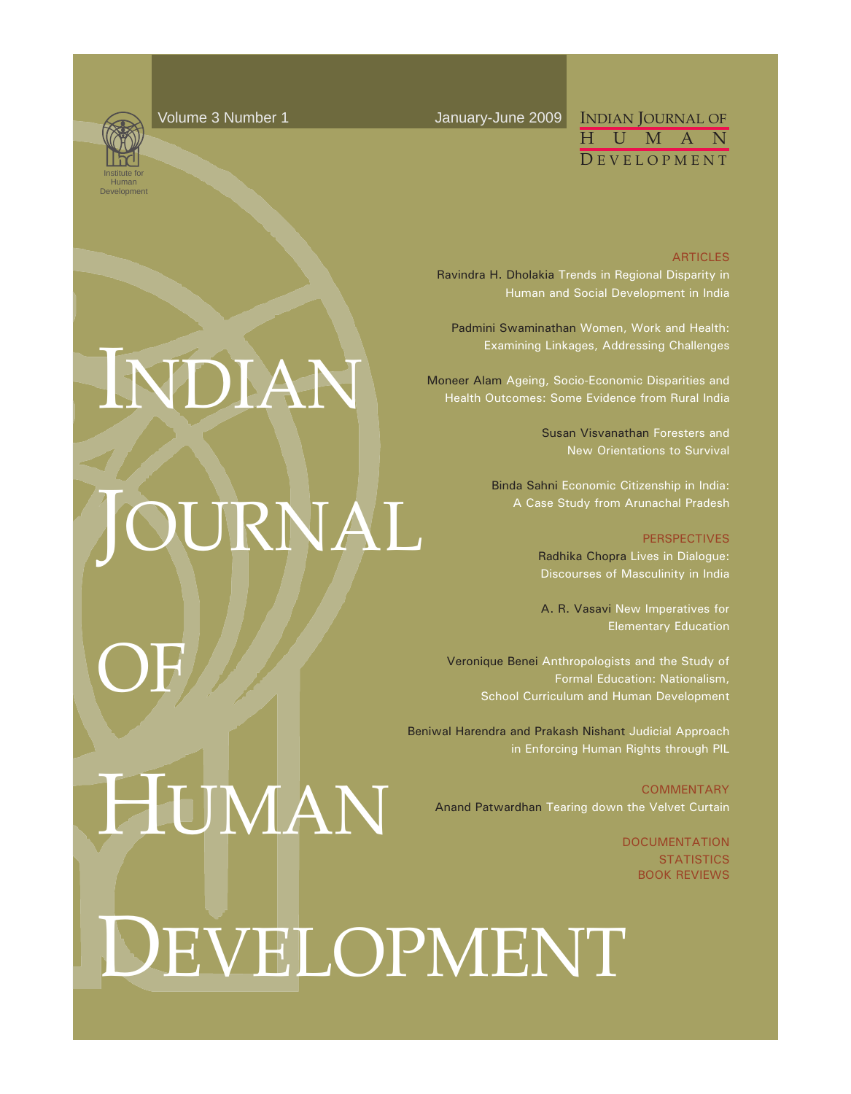INDIAN

HUMAN

JOURNAL

Institute for Human Development

OF

Volume 3 Number 1 January-June 2009

## INDIAN JOURNAL OF H U M A N D E V E L O P M E N T

#### ARTICLES

Ravindra H. Dholakia Trends in Regional Disparity in Human and Social Development in India

Padmini Swaminathan Women, Work and Health: Examining Linkages, Addressing Challenges

Moneer Alam Ageing, Socio-Economic Disparities and Health Outcomes: Some Evidence from Rural India

> Susan Visvanathan Foresters and New Orientations to Survival

Binda Sahni Economic Citizenship in India: A Case Study from Arunachal Pradesh

> PERSPECTIVES Radhika Chopra Lives in Dialogue: Discourses of Masculinity in India

> A. R. Vasavi New Imperatives for Elementary Education

Veronique Benei Anthropologists and the Study of Formal Education: Nationalism, School Curriculum and Human Development

Beniwal Harendra and Prakash Nishant Judicial Approach in Enforcing Human Rights through PIL

**COMMENTARY** Anand Patwardhan Tearing down the Velvet Curtain

> **DOCUMENTATION STATISTICS** BOOK REVIEWS

DEVELOPMENT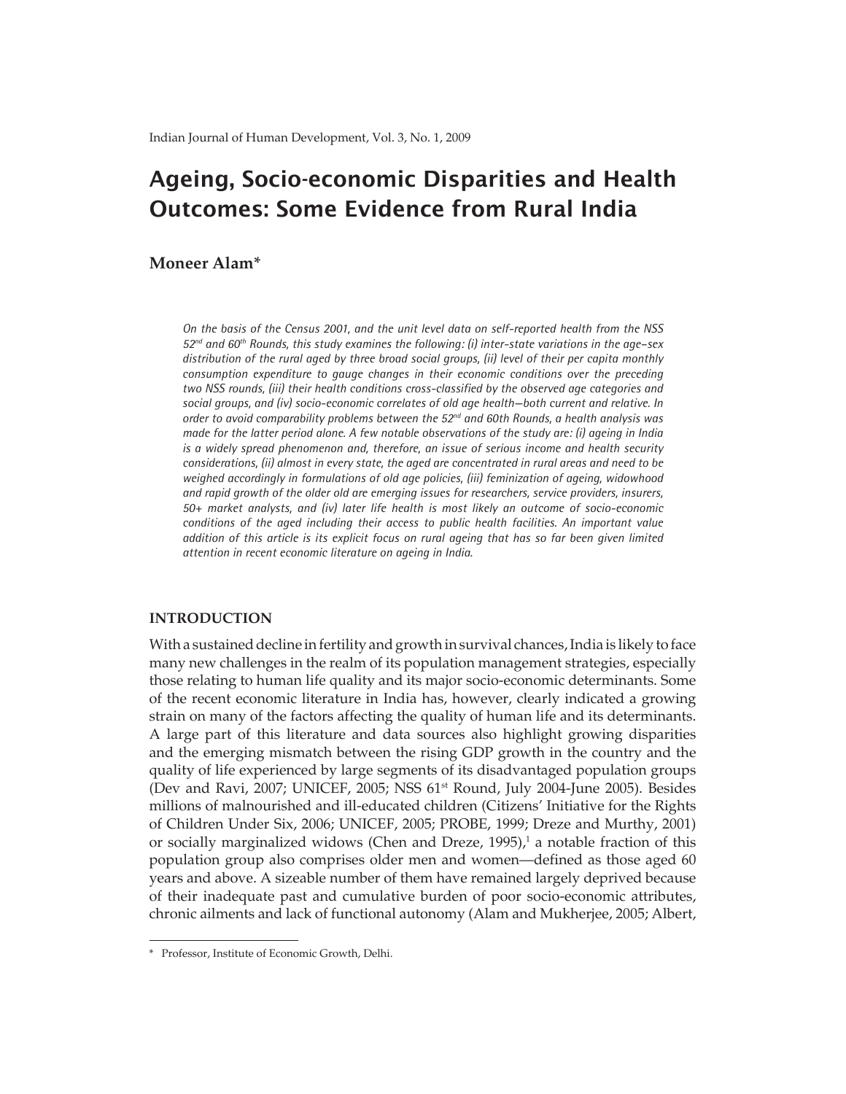## Ageing, Socio-economic Disparities and Health Outcomes: Some Evidence from Rural India

## **Moneer Alam\***

*On the basis of the Census 2001, and the unit level data on self-reported health from the NSS 52nd and 60th Rounds, this study examines the following: (i) inter-state variations in the age–sex distribution of the rural aged by three broad social groups, (ii) level of their per capita monthly consumption expenditure to gauge changes in their economic conditions over the preceding two NSS rounds, (iii) their health conditions cross-classified by the observed age categories and social groups, and (iv) socio-economic correlates of old age health—both current and relative. In order to avoid comparability problems between the 52nd and 60th Rounds, a health analysis was made for the latter period alone. A few notable observations of the study are: (i) ageing in India is a widely spread phenomenon and, therefore, an issue of serious income and health security considerations, (ii) almost in every state, the aged are concentrated in rural areas and need to be weighed accordingly in formulations of old age policies, (iii) feminization of ageing, widowhood and rapid growth of the older old are emerging issues for researchers, service providers, insurers, 50+ market analysts, and (iv) later life health is most likely an outcome of socio-economic conditions of the aged including their access to public health facilities. An important value addition of this article is its explicit focus on rural ageing that has so far been given limited attention in recent economic literature on ageing in India.* 

## **INTRODUCTION**

With a sustained decline in fertility and growth in survival chances, India is likely to face many new challenges in the realm of its population management strategies, especially those relating to human life quality and its major socio-economic determinants. Some of the recent economic literature in India has, however, clearly indicated a growing strain on many of the factors affecting the quality of human life and its determinants. A large part of this literature and data sources also highlight growing disparities and the emerging mismatch between the rising GDP growth in the country and the quality of life experienced by large segments of its disadvantaged population groups (Dev and Ravi, 2007; UNICEF, 2005; NSS 61<sup>st</sup> Round, July 2004-June 2005). Besides millions of malnourished and ill-educated children (Citizens' Initiative for the Rights of Children Under Six, 2006; UNICEF, 2005; PROBE, 1999; Dreze and Murthy, 2001) or socially marginalized widows (Chen and Dreze,  $1995$ ),<sup>1</sup> a notable fraction of this population group also comprises older men and women—defined as those aged 60 years and above. A sizeable number of them have remained largely deprived because of their inadequate past and cumulative burden of poor socio-economic attributes, chronic ailments and lack of functional autonomy (Alam and Mukherjee, 2005; Albert,

<sup>\*</sup> Professor, Institute of Economic Growth, Delhi.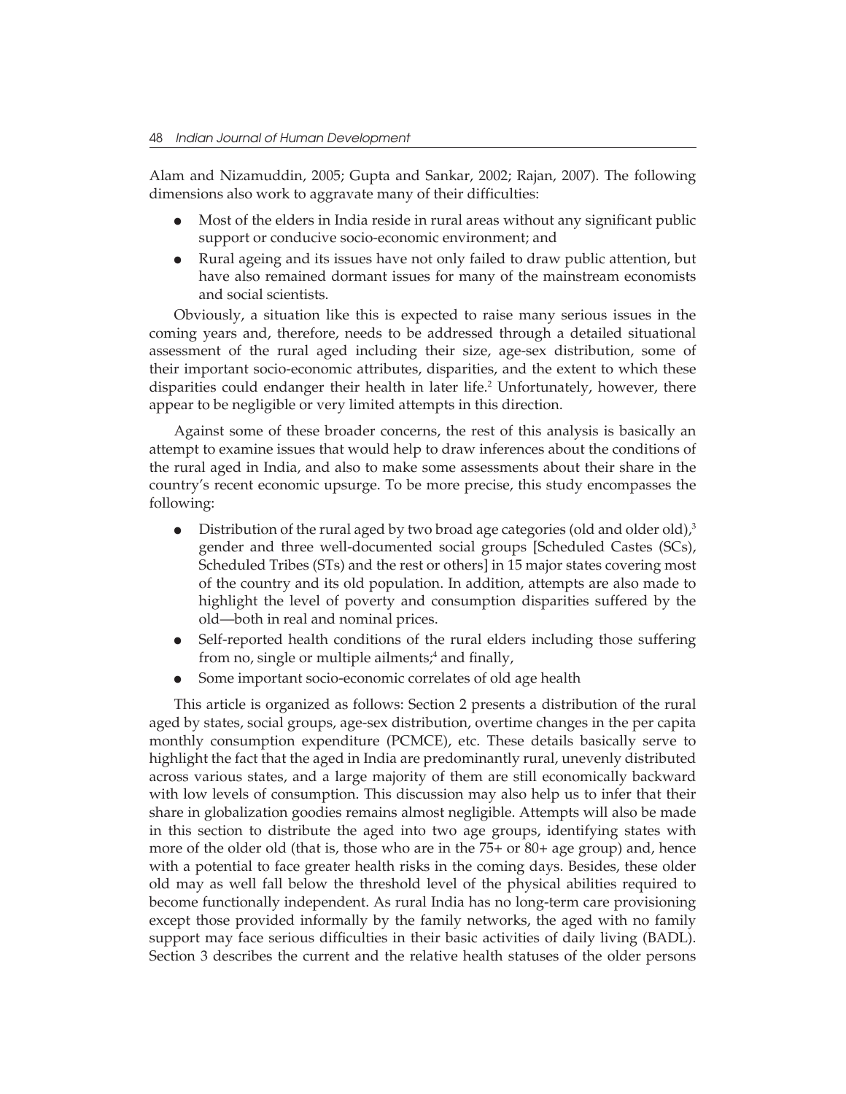Alam and Nizamuddin, 2005; Gupta and Sankar, 2002; Rajan, 2007). The following dimensions also work to aggravate many of their difficulties:

- $\bullet$  Most of the elders in India reside in rural areas without any significant public support or conducive socio-economic environment; and
- Rural ageing and its issues have not only failed to draw public attention, but have also remained dormant issues for many of the mainstream economists and social scientists.

Obviously, a situation like this is expected to raise many serious issues in the coming years and, therefore, needs to be addressed through a detailed situational assessment of the rural aged including their size, age-sex distribution, some of their important socio-economic attributes, disparities, and the extent to which these disparities could endanger their health in later life.<sup>2</sup> Unfortunately, however, there appear to be negligible or very limited attempts in this direction.

Against some of these broader concerns, the rest of this analysis is basically an attempt to examine issues that would help to draw inferences about the conditions of the rural aged in India, and also to make some assessments about their share in the country's recent economic upsurge. To be more precise, this study encompasses the following:

- Distribution of the rural aged by two broad age categories (old and older old),<sup>3</sup> gender and three well-documented social groups [Scheduled Castes (SCs), Scheduled Tribes (STs) and the rest or others] in 15 major states covering most of the country and its old population. In addition, attempts are also made to highlight the level of poverty and consumption disparities suffered by the old—both in real and nominal prices.
- Self-reported health conditions of the rural elders including those suffering from no, single or multiple ailments; $4$  and finally,
- Some important socio-economic correlates of old age health

This article is organized as follows: Section 2 presents a distribution of the rural aged by states, social groups, age-sex distribution, overtime changes in the per capita monthly consumption expenditure (PCMCE), etc. These details basically serve to highlight the fact that the aged in India are predominantly rural, unevenly distributed across various states, and a large majority of them are still economically backward with low levels of consumption. This discussion may also help us to infer that their share in globalization goodies remains almost negligible. Attempts will also be made in this section to distribute the aged into two age groups, identifying states with more of the older old (that is, those who are in the 75+ or 80+ age group) and, hence with a potential to face greater health risks in the coming days. Besides, these older old may as well fall below the threshold level of the physical abilities required to become functionally independent. As rural India has no long-term care provisioning except those provided informally by the family networks, the aged with no family support may face serious difficulties in their basic activities of daily living (BADL). Section 3 describes the current and the relative health statuses of the older persons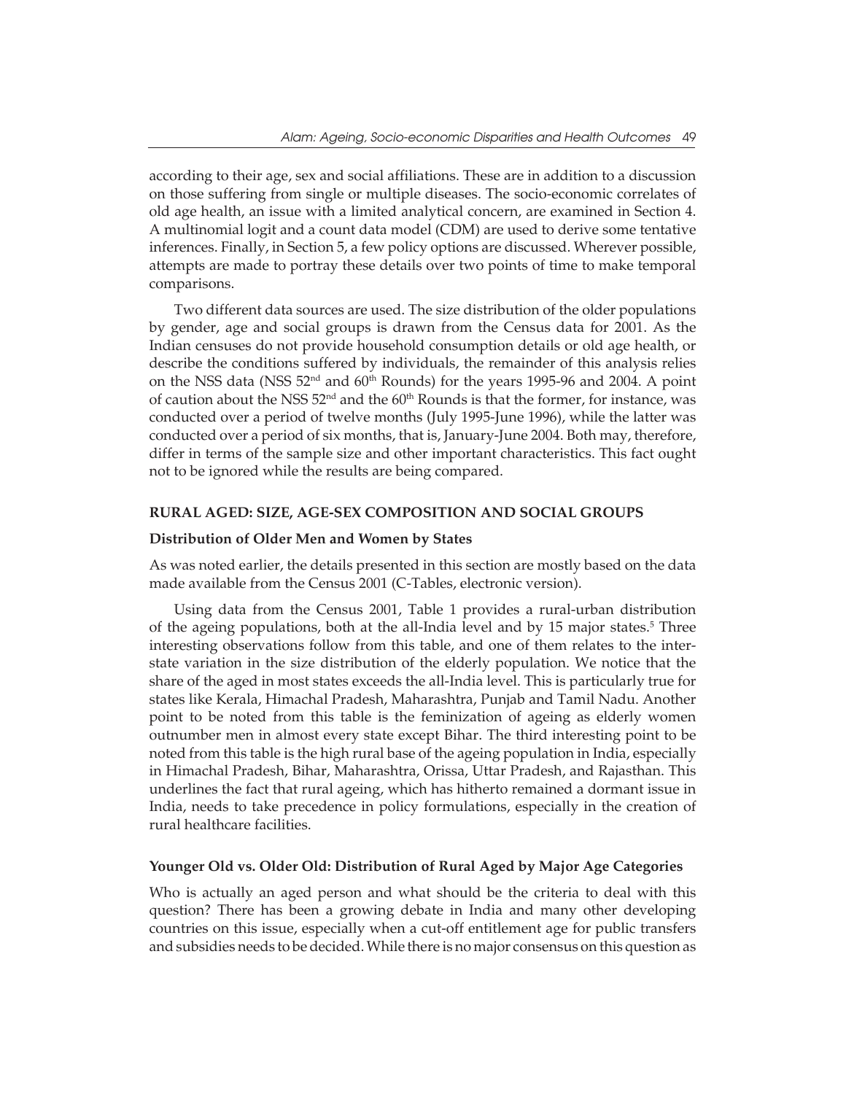according to their age, sex and social affiliations. These are in addition to a discussion on those suffering from single or multiple diseases. The socio-economic correlates of old age health, an issue with a limited analytical concern, are examined in Section 4. A multinomial logit and a count data model (CDM) are used to derive some tentative inferences. Finally, in Section 5, a few policy options are discussed. Wherever possible, attempts are made to portray these details over two points of time to make temporal comparisons.

Two different data sources are used. The size distribution of the older populations by gender, age and social groups is drawn from the Census data for 2001. As the Indian censuses do not provide household consumption details or old age health, or describe the conditions suffered by individuals, the remainder of this analysis relies on the NSS data (NSS 52<sup>nd</sup> and 60<sup>th</sup> Rounds) for the years 1995-96 and 2004. A point of caution about the NSS  $52<sup>nd</sup>$  and the  $60<sup>th</sup>$  Rounds is that the former, for instance, was conducted over a period of twelve months (July 1995-June 1996), while the latter was conducted over a period of six months, that is, January-June 2004. Both may, therefore, differ in terms of the sample size and other important characteristics. This fact ought not to be ignored while the results are being compared.

## **RURAL AGED: SIZE, AGE-SEX COMPOSITION AND SOCIAL GROUPS**

## **Distribution of Older Men and Women by States**

As was noted earlier, the details presented in this section are mostly based on the data made available from the Census 2001 (C-Tables, electronic version).

Using data from the Census 2001, Table 1 provides a rural-urban distribution of the ageing populations, both at the all-India level and by 15 major states.<sup>5</sup> Three interesting observations follow from this table, and one of them relates to the interstate variation in the size distribution of the elderly population. We notice that the share of the aged in most states exceeds the all-India level. This is particularly true for states like Kerala, Himachal Pradesh, Maharashtra, Punjab and Tamil Nadu. Another point to be noted from this table is the feminization of ageing as elderly women outnumber men in almost every state except Bihar. The third interesting point to be noted from this table is the high rural base of the ageing population in India, especially in Himachal Pradesh, Bihar, Maharashtra, Orissa, Uttar Pradesh, and Rajasthan. This underlines the fact that rural ageing, which has hitherto remained a dormant issue in India, needs to take precedence in policy formulations, especially in the creation of rural healthcare facilities.

## **Younger Old vs. Older Old: Distribution of Rural Aged by Major Age Categories**

Who is actually an aged person and what should be the criteria to deal with this question? There has been a growing debate in India and many other developing countries on this issue, especially when a cut-off entitlement age for public transfers and subsidies needs to be decided. While there is no major consensus on this question as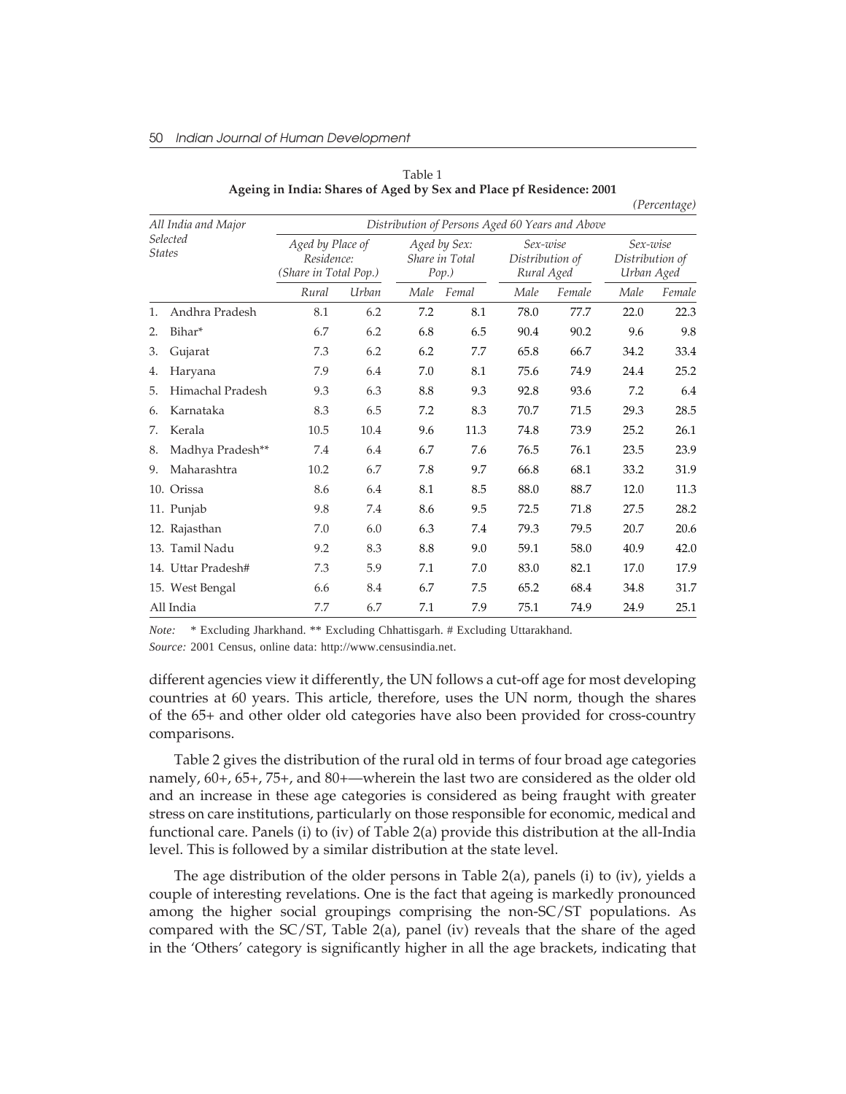| All India and Major<br>Selected<br><b>States</b> |                    | Distribution of Persons Aged 60 Years and Above         |       |      |                                            |      |                                           |      |                                           |  |  |
|--------------------------------------------------|--------------------|---------------------------------------------------------|-------|------|--------------------------------------------|------|-------------------------------------------|------|-------------------------------------------|--|--|
|                                                  |                    | Aged by Place of<br>Residence:<br>(Share in Total Pop.) |       |      | Aged by Sex:<br>Share in Total<br>$Pop.$ ) |      | Sex-wise<br>Distribution of<br>Rural Aged |      | Sex-wise<br>Distribution of<br>Urban Aged |  |  |
|                                                  |                    | Rural                                                   | Urban | Male | Femal                                      | Male | Female                                    | Male | Female                                    |  |  |
| 1.                                               | Andhra Pradesh     | 8.1                                                     | 6.2   | 7.2  | 8.1                                        | 78.0 | 77.7                                      | 22.0 | 22.3                                      |  |  |
| 2.                                               | Bihar*             | 6.7                                                     | 6.2   | 6.8  | 6.5                                        | 90.4 | 90.2                                      | 9.6  | 9.8                                       |  |  |
| 3.                                               | Gujarat            | 7.3                                                     | 6.2   | 6.2  | 7.7                                        | 65.8 | 66.7                                      | 34.2 | 33.4                                      |  |  |
| 4.                                               | Haryana            | 7.9                                                     | 6.4   | 7.0  | 8.1                                        | 75.6 | 74.9                                      | 24.4 | 25.2                                      |  |  |
| 5.                                               | Himachal Pradesh   | 9.3                                                     | 6.3   | 8.8  | 9.3                                        | 92.8 | 93.6                                      | 7.2  | 6.4                                       |  |  |
| 6.                                               | Karnataka          | 8.3                                                     | 6.5   | 7.2  | 8.3                                        | 70.7 | 71.5                                      | 29.3 | 28.5                                      |  |  |
| 7.                                               | Kerala             | 10.5                                                    | 10.4  | 9.6  | 11.3                                       | 74.8 | 73.9                                      | 25.2 | 26.1                                      |  |  |
| 8.                                               | Madhya Pradesh**   | 7.4                                                     | 6.4   | 6.7  | 7.6                                        | 76.5 | 76.1                                      | 23.5 | 23.9                                      |  |  |
| 9.                                               | Maharashtra        | 10.2                                                    | 6.7   | 7.8  | 9.7                                        | 66.8 | 68.1                                      | 33.2 | 31.9                                      |  |  |
|                                                  | 10. Orissa         | 8.6                                                     | 6.4   | 8.1  | 8.5                                        | 88.0 | 88.7                                      | 12.0 | 11.3                                      |  |  |
|                                                  | 11. Punjab         | 9.8                                                     | 7.4   | 8.6  | 9.5                                        | 72.5 | 71.8                                      | 27.5 | 28.2                                      |  |  |
|                                                  | 12. Rajasthan      | 7.0                                                     | 6.0   | 6.3  | 7.4                                        | 79.3 | 79.5                                      | 20.7 | 20.6                                      |  |  |
|                                                  | 13. Tamil Nadu     | 9.2                                                     | 8.3   | 8.8  | 9.0                                        | 59.1 | 58.0                                      | 40.9 | 42.0                                      |  |  |
|                                                  | 14. Uttar Pradesh# | 7.3                                                     | 5.9   | 7.1  | 7.0                                        | 83.0 | 82.1                                      | 17.0 | 17.9                                      |  |  |
|                                                  | 15. West Bengal    | 6.6                                                     | 8.4   | 6.7  | 7.5                                        | 65.2 | 68.4                                      | 34.8 | 31.7                                      |  |  |
|                                                  | All India          | 7.7                                                     | 6.7   | 7.1  | 7.9                                        | 75.1 | 74.9                                      | 24.9 | 25.1                                      |  |  |

Table 1 **Ageing in India: Shares of Aged by Sex and Place pf Residence: 2001**

*(Percentage)*

*Note:* \* Excluding Jharkhand. \*\* Excluding Chhattisgarh. # Excluding Uttarakhand.

*Source:* 2001 Census, online data: http://www.censusindia.net.

different agencies view it differently, the UN follows a cut-off age for most developing countries at 60 years. This article, therefore, uses the UN norm, though the shares of the 65+ and other older old categories have also been provided for cross-country comparisons.

Table 2 gives the distribution of the rural old in terms of four broad age categories namely, 60+, 65+, 75+, and 80+—wherein the last two are considered as the older old and an increase in these age categories is considered as being fraught with greater stress on care institutions, particularly on those responsible for economic, medical and functional care. Panels (i) to (iv) of Table 2(a) provide this distribution at the all-India level. This is followed by a similar distribution at the state level.

The age distribution of the older persons in Table 2(a), panels (i) to (iv), yields a couple of interesting revelations. One is the fact that ageing is markedly pronounced among the higher social groupings comprising the non-SC/ST populations. As compared with the SC/ST, Table 2(a), panel (iv) reveals that the share of the aged in the 'Others' category is significantly higher in all the age brackets, indicating that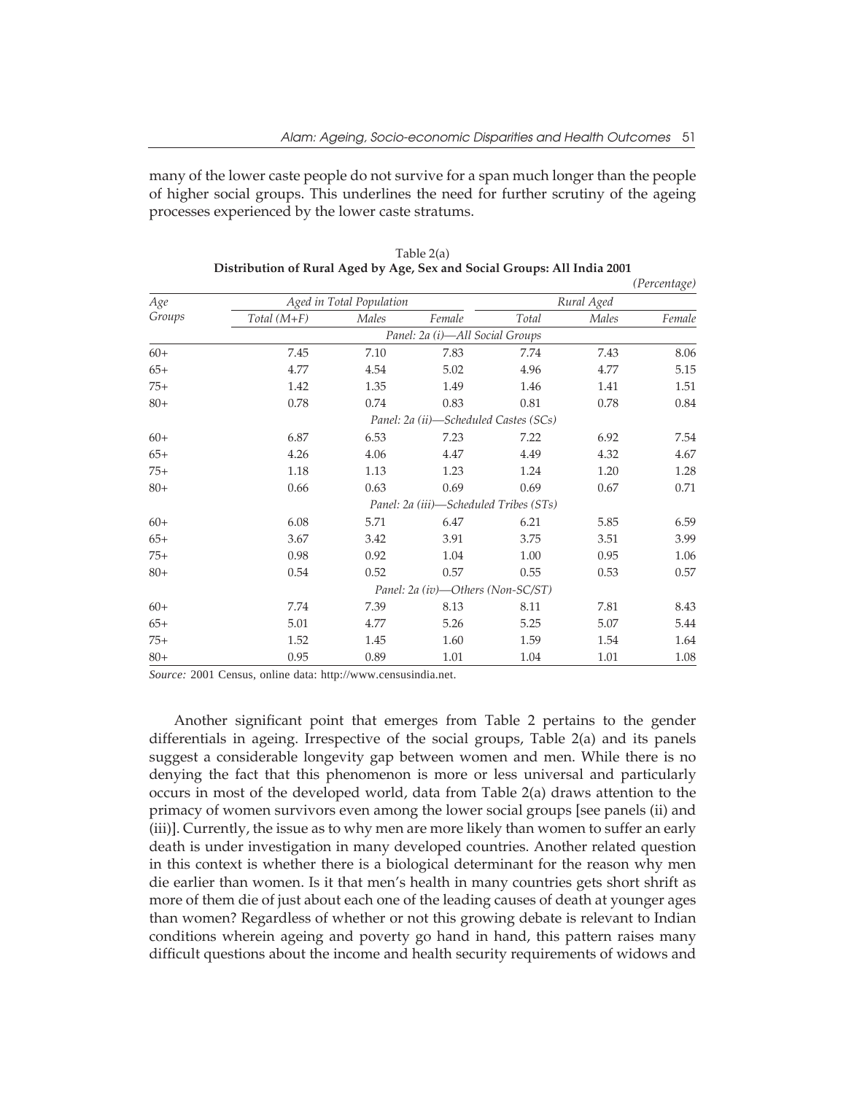many of the lower caste people do not survive for a span much longer than the people of higher social groups. This underlines the need for further scrutiny of the ageing processes experienced by the lower caste stratums.

|        |                                        |                          |                                   |       |            | $(1 \text{ cm})$ |  |  |  |  |
|--------|----------------------------------------|--------------------------|-----------------------------------|-------|------------|------------------|--|--|--|--|
| Age    |                                        | Aged in Total Population |                                   |       | Rural Aged |                  |  |  |  |  |
| Groups | Total (M+F)                            | Males                    | Female                            | Total | Males      | Female           |  |  |  |  |
|        |                                        |                          | Panel: 2a (i)-All Social Groups   |       |            |                  |  |  |  |  |
| $60+$  | 7.45                                   | 7.10                     | 7.83                              | 7.74  | 7.43       | 8.06             |  |  |  |  |
| $65+$  | 4.77                                   | 4.54                     | 5.02                              | 4.96  | 4.77       | 5.15             |  |  |  |  |
| $75+$  | 1.42                                   | 1.35                     | 1.49                              | 1.46  | 1.41       | 1.51             |  |  |  |  |
| $80+$  | 0.78                                   | 0.74                     | 0.83                              | 0.81  | 0.78       | 0.84             |  |  |  |  |
|        | Panel: 2a (ii)—Scheduled Castes (SCs)  |                          |                                   |       |            |                  |  |  |  |  |
| $60+$  | 6.87                                   | 6.53                     | 7.23                              | 7.22  | 6.92       | 7.54             |  |  |  |  |
| $65+$  | 4.26                                   | 4.06                     | 4.47                              | 4.49  | 4.32       | 4.67             |  |  |  |  |
| $75+$  | 1.18                                   | 1.13                     | 1.23                              | 1.24  | 1.20       | 1.28             |  |  |  |  |
| $80+$  | 0.66                                   | 0.63                     | 0.69                              | 0.69  | 0.67       | 0.71             |  |  |  |  |
|        | Panel: 2a (iii)—Scheduled Tribes (STs) |                          |                                   |       |            |                  |  |  |  |  |
| $60+$  | 6.08                                   | 5.71                     | 6.47                              | 6.21  | 5.85       | 6.59             |  |  |  |  |
| $65+$  | 3.67                                   | 3.42                     | 3.91                              | 3.75  | 3.51       | 3.99             |  |  |  |  |
| $75+$  | 0.98                                   | 0.92                     | 1.04                              | 1.00  | 0.95       | 1.06             |  |  |  |  |
| $80+$  | 0.54                                   | 0.52                     | 0.57                              | 0.55  | 0.53       | 0.57             |  |  |  |  |
|        |                                        |                          | Panel: 2a (iv)-Others (Non-SC/ST) |       |            |                  |  |  |  |  |
| $60+$  | 7.74                                   | 7.39                     | 8.13                              | 8.11  | 7.81       | 8.43             |  |  |  |  |
| $65+$  | 5.01                                   | 4.77                     | 5.26                              | 5.25  | 5.07       | 5.44             |  |  |  |  |
| $75+$  | 1.52                                   | 1.45                     | 1.60                              | 1.59  | 1.54       | 1.64             |  |  |  |  |
| $80+$  | 0.95                                   | 0.89                     | 1.01                              | 1.04  | 1.01       | 1.08             |  |  |  |  |

Table 2(a) **Distribution of Rural Aged by Age, Sex and Social Groups: All India 2001** *(Percentage)*

*Source:* 2001 Census, online data: http://www.censusindia.net.

Another significant point that emerges from Table 2 pertains to the gender differentials in ageing. Irrespective of the social groups, Table 2(a) and its panels suggest a considerable longevity gap between women and men. While there is no denying the fact that this phenomenon is more or less universal and particularly occurs in most of the developed world, data from Table 2(a) draws attention to the primacy of women survivors even among the lower social groups [see panels (ii) and (iii)]. Currently, the issue as to why men are more likely than women to suffer an early death is under investigation in many developed countries. Another related question in this context is whether there is a biological determinant for the reason why men die earlier than women. Is it that men's health in many countries gets short shrift as more of them die of just about each one of the leading causes of death at younger ages than women? Regardless of whether or not this growing debate is relevant to Indian conditions wherein ageing and poverty go hand in hand, this pattern raises many difficult questions about the income and health security requirements of widows and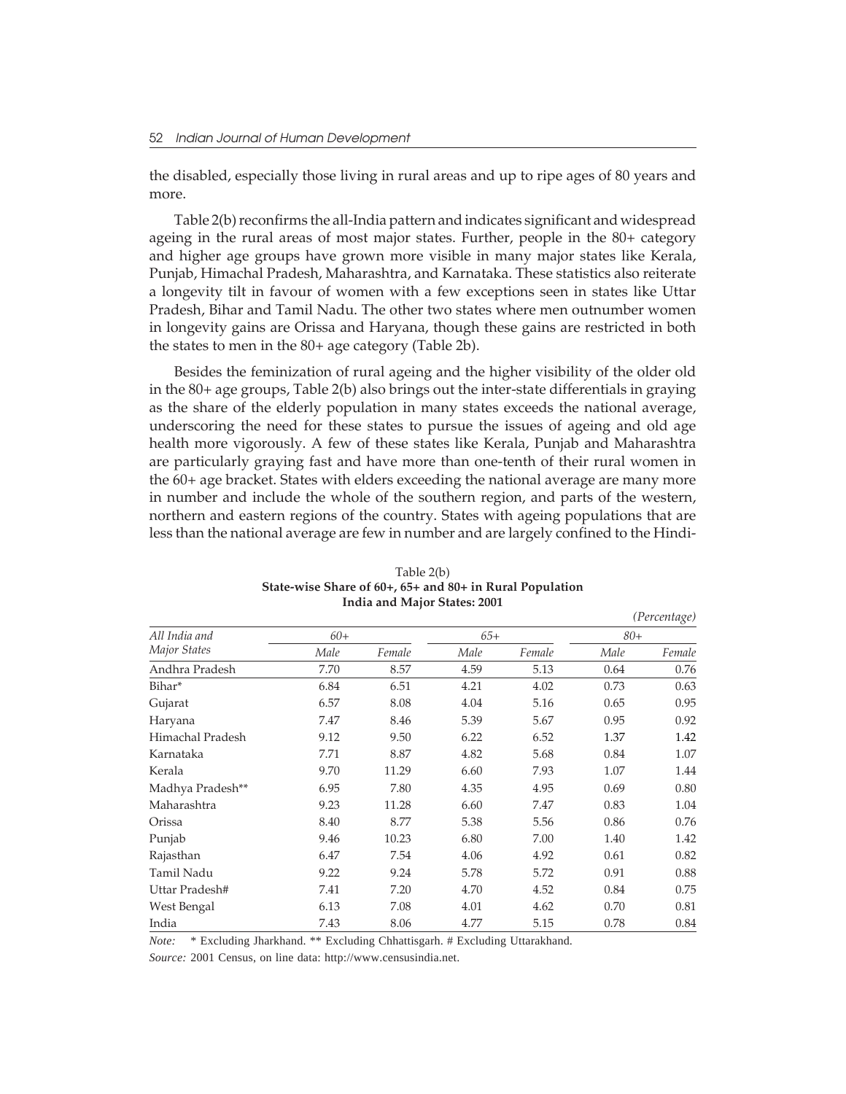the disabled, especially those living in rural areas and up to ripe ages of 80 years and more.

Table 2(b) reconfirms the all-India pattern and indicates significant and widespread ageing in the rural areas of most major states. Further, people in the 80+ category and higher age groups have grown more visible in many major states like Kerala, Punjab, Himachal Pradesh, Maharashtra, and Karnataka. These statistics also reiterate a longevity tilt in favour of women with a few exceptions seen in states like Uttar Pradesh, Bihar and Tamil Nadu. The other two states where men outnumber women in longevity gains are Orissa and Haryana, though these gains are restricted in both the states to men in the 80+ age category (Table 2b).

Besides the feminization of rural ageing and the higher visibility of the older old in the 80+ age groups, Table 2(b) also brings out the inter-state differentials in graying as the share of the elderly population in many states exceeds the national average, underscoring the need for these states to pursue the issues of ageing and old age health more vigorously. A few of these states like Kerala, Punjab and Maharashtra are particularly graying fast and have more than one-tenth of their rural women in the 60+ age bracket. States with elders exceeding the national average are many more in number and include the whole of the southern region, and parts of the western, northern and eastern regions of the country. States with ageing populations that are less than the national average are few in number and are largely confined to the Hindi-

|                  |       |        |       |        |       | (Percentage) |
|------------------|-------|--------|-------|--------|-------|--------------|
| All India and    | $60+$ |        | $65+$ |        | $80+$ |              |
| Major States     | Male  | Female | Male  | Female | Male  | Female       |
| Andhra Pradesh   | 7.70  | 8.57   | 4.59  | 5.13   | 0.64  | 0.76         |
| Bihar*           | 6.84  | 6.51   | 4.21  | 4.02   | 0.73  | 0.63         |
| Gujarat          | 6.57  | 8.08   | 4.04  | 5.16   | 0.65  | 0.95         |
| Haryana          | 7.47  | 8.46   | 5.39  | 5.67   | 0.95  | 0.92         |
| Himachal Pradesh | 9.12  | 9.50   | 6.22  | 6.52   | 1.37  | 1.42         |
| Karnataka        | 7.71  | 8.87   | 4.82  | 5.68   | 0.84  | 1.07         |
| Kerala           | 9.70  | 11.29  | 6.60  | 7.93   | 1.07  | 1.44         |
| Madhya Pradesh** | 6.95  | 7.80   | 4.35  | 4.95   | 0.69  | 0.80         |
| Maharashtra      | 9.23  | 11.28  | 6.60  | 7.47   | 0.83  | 1.04         |
| Orissa           | 8.40  | 8.77   | 5.38  | 5.56   | 0.86  | 0.76         |
| Punjab           | 9.46  | 10.23  | 6.80  | 7.00   | 1.40  | 1.42         |
| Rajasthan        | 6.47  | 7.54   | 4.06  | 4.92   | 0.61  | 0.82         |
| Tamil Nadu       | 9.22  | 9.24   | 5.78  | 5.72   | 0.91  | 0.88         |
| Uttar Pradesh#   | 7.41  | 7.20   | 4.70  | 4.52   | 0.84  | 0.75         |
| West Bengal      | 6.13  | 7.08   | 4.01  | 4.62   | 0.70  | 0.81         |
| India            | 7.43  | 8.06   | 4.77  | 5.15   | 0.78  | 0.84         |

Table 2(b) **State-wise Share of 60+, 65+ and 80+ in Rural Population India and Major States: 2001**

*Note:* \* Excluding Jharkhand. \*\* Excluding Chhattisgarh. # Excluding Uttarakhand.

*Source:* 2001 Census, on line data: http://www.censusindia.net.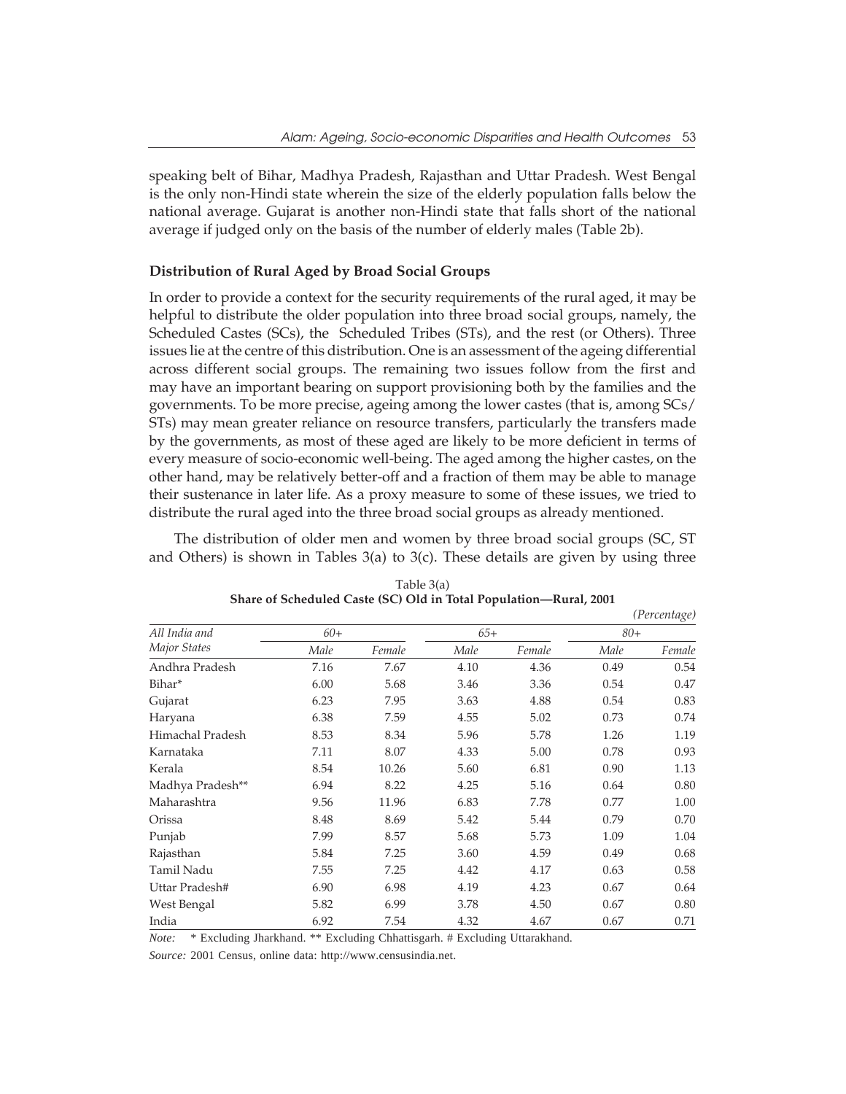speaking belt of Bihar, Madhya Pradesh, Rajasthan and Uttar Pradesh. West Bengal is the only non-Hindi state wherein the size of the elderly population falls below the national average. Gujarat is another non-Hindi state that falls short of the national average if judged only on the basis of the number of elderly males (Table 2b).

## **Distribution of Rural Aged by Broad Social Groups**

In order to provide a context for the security requirements of the rural aged, it may be helpful to distribute the older population into three broad social groups, namely, the Scheduled Castes (SCs), the Scheduled Tribes (STs), and the rest (or Others). Three issues lie at the centre of this distribution. One is an assessment of the ageing differential across different social groups. The remaining two issues follow from the first and may have an important bearing on support provisioning both by the families and the governments. To be more precise, ageing among the lower castes (that is, among SCs/ STs) may mean greater reliance on resource transfers, particularly the transfers made by the governments, as most of these aged are likely to be more deficient in terms of every measure of socio-economic well-being. The aged among the higher castes, on the other hand, may be relatively better-off and a fraction of them may be able to manage their sustenance in later life. As a proxy measure to some of these issues, we tried to distribute the rural aged into the three broad social groups as already mentioned.

The distribution of older men and women by three broad social groups (SC, ST and Others) is shown in Tables  $3(a)$  to  $3(c)$ . These details are given by using three

|                     |       |        |       |        |       | (Percentage) |
|---------------------|-------|--------|-------|--------|-------|--------------|
| All India and       | $60+$ |        | $65+$ |        | $80+$ |              |
| <b>Major States</b> | Male  | Female | Male  | Female | Male  | Female       |
| Andhra Pradesh      | 7.16  | 7.67   | 4.10  | 4.36   | 0.49  | 0.54         |
| Bihar*              | 6.00  | 5.68   | 3.46  | 3.36   | 0.54  | 0.47         |
| Gujarat             | 6.23  | 7.95   | 3.63  | 4.88   | 0.54  | 0.83         |
| Haryana             | 6.38  | 7.59   | 4.55  | 5.02   | 0.73  | 0.74         |
| Himachal Pradesh    | 8.53  | 8.34   | 5.96  | 5.78   | 1.26  | 1.19         |
| Karnataka           | 7.11  | 8.07   | 4.33  | 5.00   | 0.78  | 0.93         |
| Kerala              | 8.54  | 10.26  | 5.60  | 6.81   | 0.90  | 1.13         |
| Madhya Pradesh**    | 6.94  | 8.22   | 4.25  | 5.16   | 0.64  | 0.80         |
| Maharashtra         | 9.56  | 11.96  | 6.83  | 7.78   | 0.77  | 1.00         |
| Orissa              | 8.48  | 8.69   | 5.42  | 5.44   | 0.79  | 0.70         |
| Punjab              | 7.99  | 8.57   | 5.68  | 5.73   | 1.09  | 1.04         |
| Rajasthan           | 5.84  | 7.25   | 3.60  | 4.59   | 0.49  | 0.68         |
| Tamil Nadu          | 7.55  | 7.25   | 4.42  | 4.17   | 0.63  | 0.58         |
| Uttar Pradesh#      | 6.90  | 6.98   | 4.19  | 4.23   | 0.67  | 0.64         |
| West Bengal         | 5.82  | 6.99   | 3.78  | 4.50   | 0.67  | 0.80         |
| India               | 6.92  | 7.54   | 4.32  | 4.67   | 0.67  | 0.71         |

Table 3(a) **Share of Scheduled Caste (SC) Old in Total Population—Rural, 2001**

*Note:* \* Excluding Jharkhand. \*\* Excluding Chhattisgarh. # Excluding Uttarakhand.

*Source:* 2001 Census, online data: http://www.censusindia.net.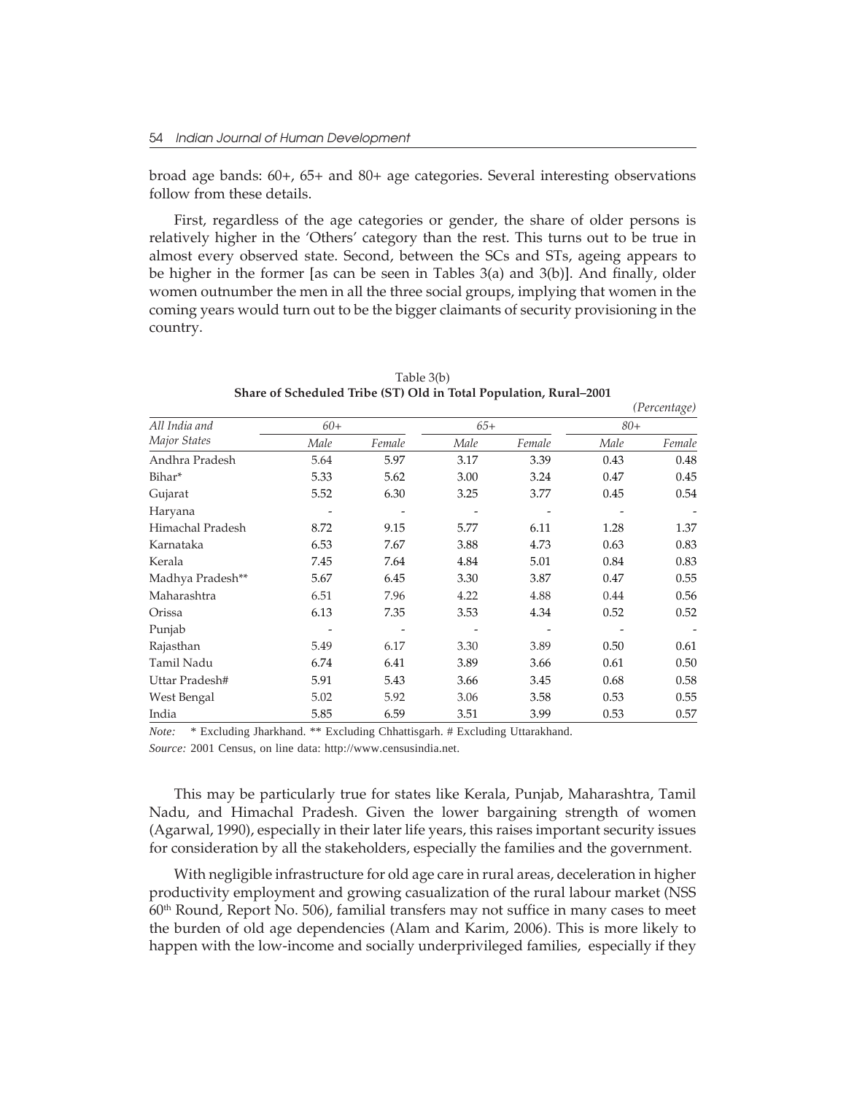broad age bands: 60+, 65+ and 80+ age categories. Several interesting observations follow from these details.

First, regardless of the age categories or gender, the share of older persons is relatively higher in the 'Others' category than the rest. This turns out to be true in almost every observed state. Second, between the SCs and STs, ageing appears to be higher in the former [as can be seen in Tables 3(a) and 3(b)]. And finally, older women outnumber the men in all the three social groups, implying that women in the coming years would turn out to be the bigger claimants of security provisioning in the country.

|                  |       |        |       |        |       | (Percentage) |
|------------------|-------|--------|-------|--------|-------|--------------|
| All India and    | $60+$ |        | $65+$ |        | $80+$ |              |
| Major States     | Male  | Female | Male  | Female | Male  | Female       |
| Andhra Pradesh   | 5.64  | 5.97   | 3.17  | 3.39   | 0.43  | 0.48         |
| Bihar*           | 5.33  | 5.62   | 3.00  | 3.24   | 0.47  | 0.45         |
| Gujarat          | 5.52  | 6.30   | 3.25  | 3.77   | 0.45  | 0.54         |
| Haryana          |       |        |       |        |       |              |
| Himachal Pradesh | 8.72  | 9.15   | 5.77  | 6.11   | 1.28  | 1.37         |
| Karnataka        | 6.53  | 7.67   | 3.88  | 4.73   | 0.63  | 0.83         |
| Kerala           | 7.45  | 7.64   | 4.84  | 5.01   | 0.84  | 0.83         |
| Madhya Pradesh** | 5.67  | 6.45   | 3.30  | 3.87   | 0.47  | 0.55         |
| Maharashtra      | 6.51  | 7.96   | 4.22  | 4.88   | 0.44  | 0.56         |
| Orissa           | 6.13  | 7.35   | 3.53  | 4.34   | 0.52  | 0.52         |
| Punjab           |       |        |       |        |       |              |
| Rajasthan        | 5.49  | 6.17   | 3.30  | 3.89   | 0.50  | 0.61         |
| Tamil Nadu       | 6.74  | 6.41   | 3.89  | 3.66   | 0.61  | 0.50         |
| Uttar Pradesh#   | 5.91  | 5.43   | 3.66  | 3.45   | 0.68  | 0.58         |
| West Bengal      | 5.02  | 5.92   | 3.06  | 3.58   | 0.53  | 0.55         |
| India            | 5.85  | 6.59   | 3.51  | 3.99   | 0.53  | 0.57         |

Table 3(b) **Share of Scheduled Tribe (ST) Old in Total Population, Rural–2001**

*Note:* \* Excluding Jharkhand. \*\* Excluding Chhattisgarh. # Excluding Uttarakhand.

*Source:* 2001 Census, on line data: http://www.censusindia.net.

This may be particularly true for states like Kerala, Punjab, Maharashtra, Tamil Nadu, and Himachal Pradesh. Given the lower bargaining strength of women (Agarwal, 1990), especially in their later life years, this raises important security issues for consideration by all the stakeholders, especially the families and the government.

With negligible infrastructure for old age care in rural areas, deceleration in higher productivity employment and growing casualization of the rural labour market (NSS  $60<sup>th</sup>$  Round, Report No. 506), familial transfers may not suffice in many cases to meet the burden of old age dependencies (Alam and Karim, 2006). This is more likely to happen with the low-income and socially underprivileged families, especially if they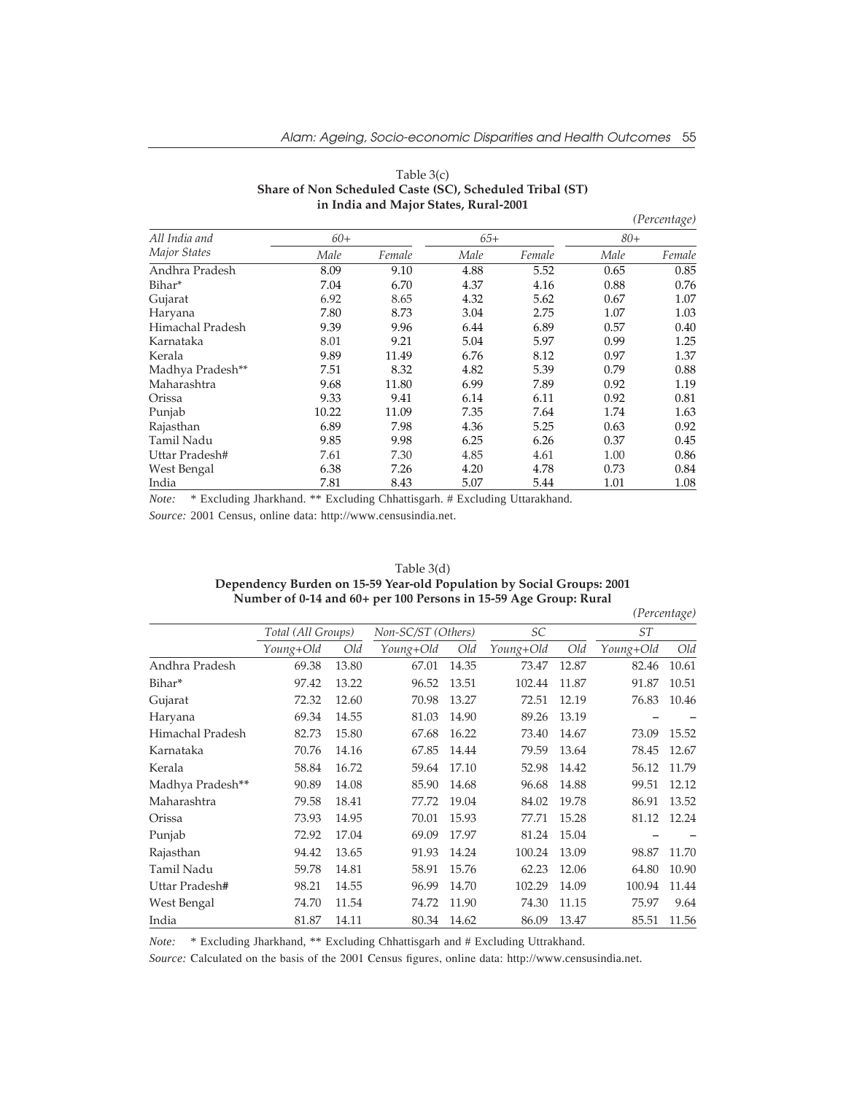|                  |       |        |       |        |       | (Percentage) |  |
|------------------|-------|--------|-------|--------|-------|--------------|--|
| All India and    | $60+$ |        | $65+$ |        | $80+$ |              |  |
| Major States     | Male  | Female | Male  | Female | Male  | Female       |  |
| Andhra Pradesh   | 8.09  | 9.10   | 4.88  | 5.52   | 0.65  | 0.85         |  |
| Bihar*           | 7.04  | 6.70   | 4.37  | 4.16   | 0.88  | 0.76         |  |
| Gujarat          | 6.92  | 8.65   | 4.32  | 5.62   | 0.67  | 1.07         |  |
| Haryana          | 7.80  | 8.73   | 3.04  | 2.75   | 1.07  | 1.03         |  |
| Himachal Pradesh | 9.39  | 9.96   | 6.44  | 6.89   | 0.57  | 0.40         |  |
| Karnataka        | 8.01  | 9.21   | 5.04  | 5.97   | 0.99  | 1.25         |  |
| Kerala           | 9.89  | 11.49  | 6.76  | 8.12   | 0.97  | 1.37         |  |
| Madhya Pradesh** | 7.51  | 8.32   | 4.82  | 5.39   | 0.79  | 0.88         |  |
| Maharashtra      | 9.68  | 11.80  | 6.99  | 7.89   | 0.92  | 1.19         |  |
| Orissa           | 9.33  | 9.41   | 6.14  | 6.11   | 0.92  | 0.81         |  |
| Punjab           | 10.22 | 11.09  | 7.35  | 7.64   | 1.74  | 1.63         |  |
| Rajasthan        | 6.89  | 7.98   | 4.36  | 5.25   | 0.63  | 0.92         |  |
| Tamil Nadu       | 9.85  | 9.98   | 6.25  | 6.26   | 0.37  | 0.45         |  |
| Uttar Pradesh#   | 7.61  | 7.30   | 4.85  | 4.61   | 1.00  | 0.86         |  |
| West Bengal      | 6.38  | 7.26   | 4.20  | 4.78   | 0.73  | 0.84         |  |
| India            | 7.81  | 8.43   | 5.07  | 5.44   | 1.01  | 1.08         |  |

## Table 3(c) **Share of Non Scheduled Caste (SC), Scheduled Tribal (ST) in India and Major States, Rural-2001**

*Note:* \* Excluding Jharkhand. \*\* Excluding Chhattisgarh. # Excluding Uttarakhand. *Source:* 2001 Census, online data: http://www.censusindia.net.

|                  |                    |       |           |                    |           |       |           | (Percentage) |
|------------------|--------------------|-------|-----------|--------------------|-----------|-------|-----------|--------------|
|                  | Total (All Groups) |       |           | Non-SC/ST (Others) |           |       | <b>ST</b> |              |
|                  | Young+Old          | Old   | Young+Old | Old                | Young+Old | Old   | Young+Old | Old          |
| Andhra Pradesh   | 69.38              | 13.80 | 67.01     | 14.35              | 73.47     | 12.87 | 82.46     | 10.61        |
| Bihar*           | 97.42              | 13.22 | 96.52     | 13.51              | 102.44    | 11.87 | 91.87     | 10.51        |
| Gujarat          | 72.32              | 12.60 | 70.98     | 13.27              | 72.51     | 12.19 | 76.83     | 10.46        |
| Haryana          | 69.34              | 14.55 | 81.03     | 14.90              | 89.26     | 13.19 |           |              |
| Himachal Pradesh | 82.73              | 15.80 | 67.68     | 16.22              | 73.40     | 14.67 | 73.09     | 15.52        |
| Karnataka        | 70.76              | 14.16 | 67.85     | 14.44              | 79.59     | 13.64 | 78.45     | 12.67        |
| Kerala           | 58.84              | 16.72 | 59.64     | 17.10              | 52.98     | 14.42 | 56.12     | 11.79        |
| Madhya Pradesh** | 90.89              | 14.08 | 85.90     | 14.68              | 96.68     | 14.88 | 99.51     | 12.12        |
| Maharashtra      | 79.58              | 18.41 | 77.72     | 19.04              | 84.02     | 19.78 | 86.91     | 13.52        |
| Orissa           | 73.93              | 14.95 | 70.01     | 15.93              | 77.71     | 15.28 | 81.12     | 12.24        |
| Punjab           | 72.92              | 17.04 | 69.09     | 17.97              | 81.24     | 15.04 |           |              |
| Rajasthan        | 94.42              | 13.65 | 91.93     | 14.24              | 100.24    | 13.09 | 98.87     | 11.70        |
| Tamil Nadu       | 59.78              | 14.81 | 58.91     | 15.76              | 62.23     | 12.06 | 64.80     | 10.90        |
| Uttar Pradesh#   | 98.21              | 14.55 | 96.99     | 14.70              | 102.29    | 14.09 | 100.94    | 11.44        |
| West Bengal      | 74.70              | 11.54 | 74.72     | 11.90              | 74.30     | 11.15 | 75.97     | 9.64         |
| India            | 81.87              | 14.11 |           | 80.34 14.62        | 86.09     | 13.47 | 85.51     | 11.56        |

## Table 3(d) **Dependency Burden on 15-59 Year-old Population by Social Groups: 2001 Number of 0-14 and 60+ per 100 Persons in 15-59 Age Group: Rural**

*Note:* \* Excluding Jharkhand, \*\* Excluding Chhattisgarh and # Excluding Uttrakhand.

*Source:* Calculated on the basis of the 2001 Census figures, online data: http://www.censusindia.net.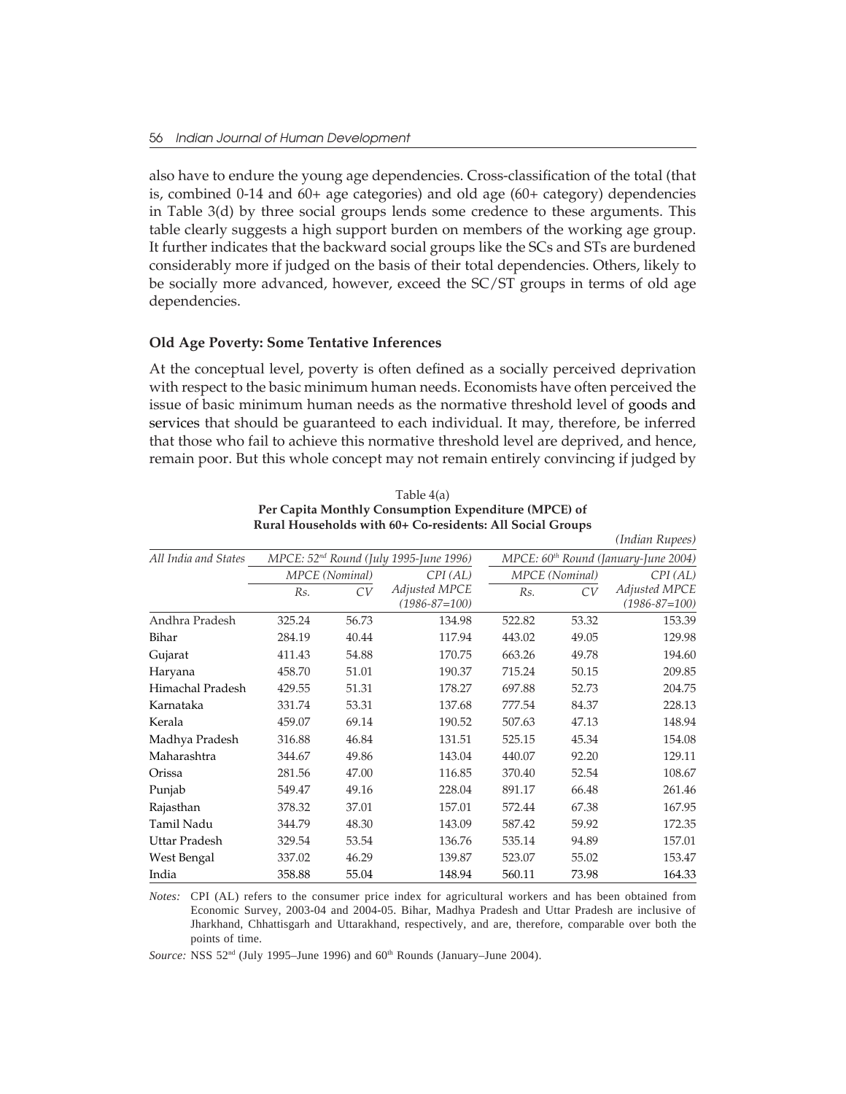also have to endure the young age dependencies. Cross-classification of the total (that is, combined 0-14 and 60+ age categories) and old age (60+ category) dependencies in Table 3(d) by three social groups lends some credence to these arguments. This table clearly suggests a high support burden on members of the working age group. It further indicates that the backward social groups like the SCs and STs are burdened considerably more if judged on the basis of their total dependencies. Others, likely to be socially more advanced, however, exceed the SC/ST groups in terms of old age dependencies.

## **Old Age Poverty: Some Tentative Inferences**

At the conceptual level, poverty is often defined as a socially perceived deprivation with respect to the basic minimum human needs. Economists have often perceived the issue of basic minimum human needs as the normative threshold level of goods and services that should be guaranteed to each individual. It may, therefore, be inferred that those who fail to achieve this normative threshold level are deprived, and hence, remain poor. But this whole concept may not remain entirely convincing if judged by

|                      |        |                |                                                    |                                         |                | $\mu$ uuun $\mu$ upees) |  |
|----------------------|--------|----------------|----------------------------------------------------|-----------------------------------------|----------------|-------------------------|--|
| All India and States |        |                | MPCE: 52 <sup>nd</sup> Round (July 1995-June 1996) | $M PCE: 60th Round (January-June 2004)$ |                |                         |  |
|                      |        | MPCE (Nominal) | CPI (AL)                                           |                                         | MPCE (Nominal) | CPI (AL)                |  |
|                      | Rs.    | CV             | Adjusted MPCE                                      | Rs.                                     | CV             | Adjusted MPCE           |  |
|                      |        |                | $(1986 - 87 = 100)$                                |                                         |                | $(1986 - 87 = 100)$     |  |
| Andhra Pradesh       | 325.24 | 56.73          | 134.98                                             | 522.82                                  | 53.32          | 153.39                  |  |
| Bihar                | 284.19 | 40.44          | 117.94                                             | 443.02                                  | 49.05          | 129.98                  |  |
| Gujarat              | 411.43 | 54.88          | 170.75                                             | 663.26                                  | 49.78          | 194.60                  |  |
| Haryana              | 458.70 | 51.01          | 190.37                                             | 715.24                                  | 50.15          | 209.85                  |  |
| Himachal Pradesh     | 429.55 | 51.31          | 178.27                                             | 697.88                                  | 52.73          | 204.75                  |  |
| Karnataka            | 331.74 | 53.31          | 137.68                                             | 777.54                                  | 84.37          | 228.13                  |  |
| Kerala               | 459.07 | 69.14          | 190.52                                             | 507.63                                  | 47.13          | 148.94                  |  |
| Madhya Pradesh       | 316.88 | 46.84          | 131.51                                             | 525.15                                  | 45.34          | 154.08                  |  |
| Maharashtra          | 344.67 | 49.86          | 143.04                                             | 440.07                                  | 92.20          | 129.11                  |  |
| Orissa               | 281.56 | 47.00          | 116.85                                             | 370.40                                  | 52.54          | 108.67                  |  |
| Punjab               | 549.47 | 49.16          | 228.04                                             | 891.17                                  | 66.48          | 261.46                  |  |
| Rajasthan            | 378.32 | 37.01          | 157.01                                             | 572.44                                  | 67.38          | 167.95                  |  |
| Tamil Nadu           | 344.79 | 48.30          | 143.09                                             | 587.42                                  | 59.92          | 172.35                  |  |
| Uttar Pradesh        | 329.54 | 53.54          | 136.76                                             | 535.14                                  | 94.89          | 157.01                  |  |
| West Bengal          | 337.02 | 46.29          | 139.87                                             | 523.07                                  | 55.02          | 153.47                  |  |
| India                | 358.88 | 55.04          | 148.94                                             | 560.11                                  | 73.98          | 164.33                  |  |

Table 4(a) **Per Capita Monthly Consumption Expenditure (MPCE) of Rural Households with 60+ Co-residents: All Social Groups**

*(Indian Rupees)*

*Notes:* CPI (AL) refers to the consumer price index for agricultural workers and has been obtained from Economic Survey, 2003-04 and 2004-05. Bihar, Madhya Pradesh and Uttar Pradesh are inclusive of Jharkhand, Chhattisgarh and Uttarakhand, respectively, and are, therefore, comparable over both the points of time.

*Source:* NSS 52<sup>nd</sup> (July 1995–June 1996) and 60<sup>th</sup> Rounds (January–June 2004).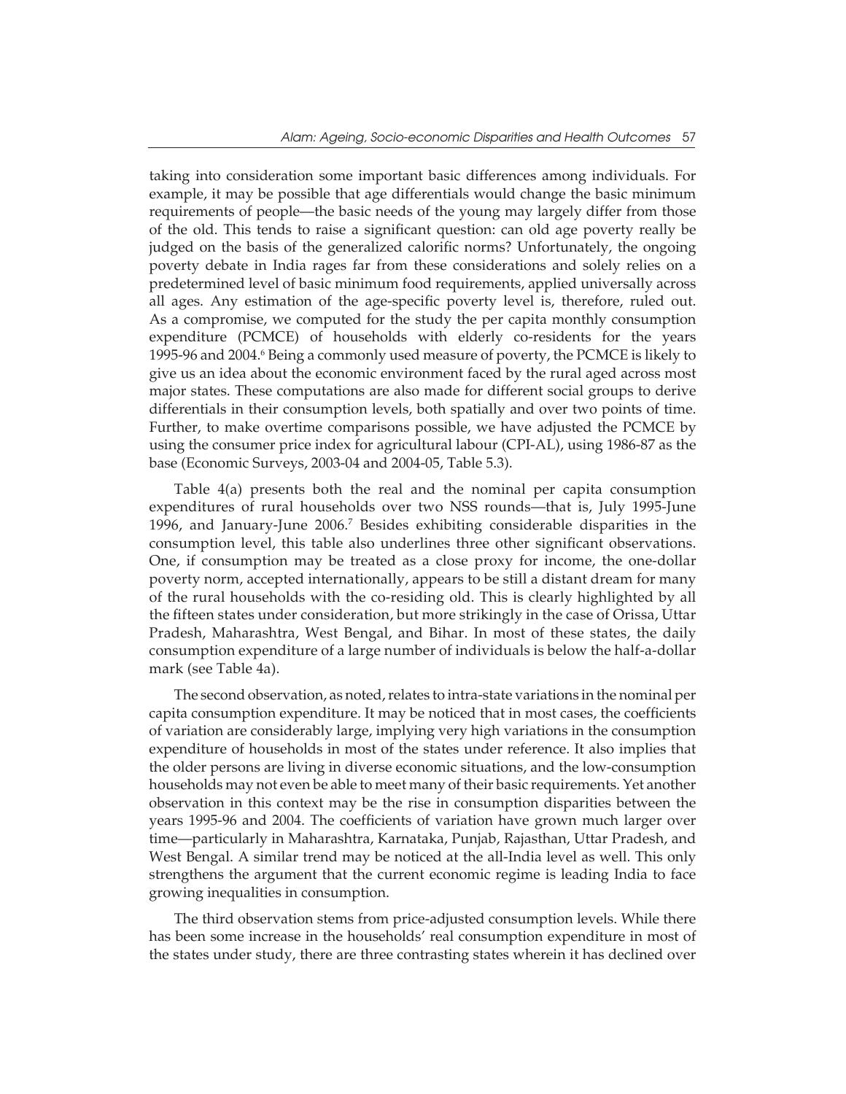taking into consideration some important basic differences among individuals. For example, it may be possible that age differentials would change the basic minimum requirements of people—the basic needs of the young may largely differ from those of the old. This tends to raise a significant question: can old age poverty really be judged on the basis of the generalized calorific norms? Unfortunately, the ongoing poverty debate in India rages far from these considerations and solely relies on a predetermined level of basic minimum food requirements, applied universally across all ages. Any estimation of the age-specific poverty level is, therefore, ruled out. As a compromise, we computed for the study the per capita monthly consumption expenditure (PCMCE) of households with elderly co-residents for the years 1995-96 and 2004.<sup>6</sup> Being a commonly used measure of poverty, the PCMCE is likely to give us an idea about the economic environment faced by the rural aged across most major states. These computations are also made for different social groups to derive differentials in their consumption levels, both spatially and over two points of time. Further, to make overtime comparisons possible, we have adjusted the PCMCE by using the consumer price index for agricultural labour (CPI-AL), using 1986-87 as the base (Economic Surveys, 2003-04 and 2004-05, Table 5.3).

Table 4(a) presents both the real and the nominal per capita consumption expenditures of rural households over two NSS rounds—that is, July 1995-June 1996, and January-June 2006.7 Besides exhibiting considerable disparities in the consumption level, this table also underlines three other significant observations. One, if consumption may be treated as a close proxy for income, the one-dollar poverty norm, accepted internationally, appears to be still a distant dream for many of the rural households with the co-residing old. This is clearly highlighted by all the fifteen states under consideration, but more strikingly in the case of Orissa, Uttar Pradesh, Maharashtra, West Bengal, and Bihar. In most of these states, the daily consumption expenditure of a large number of individuals is below the half-a-dollar mark (see Table 4a).

The second observation, as noted, relates to intra-state variations in the nominal per capita consumption expenditure. It may be noticed that in most cases, the coefficients of variation are considerably large, implying very high variations in the consumption expenditure of households in most of the states under reference. It also implies that the older persons are living in diverse economic situations, and the low-consumption households may not even be able to meet many of their basic requirements. Yet another observation in this context may be the rise in consumption disparities between the years 1995-96 and 2004. The coefficients of variation have grown much larger over time—particularly in Maharashtra, Karnataka, Punjab, Rajasthan, Uttar Pradesh, and West Bengal. A similar trend may be noticed at the all-India level as well. This only strengthens the argument that the current economic regime is leading India to face growing inequalities in consumption.

The third observation stems from price-adjusted consumption levels. While there has been some increase in the households' real consumption expenditure in most of the states under study, there are three contrasting states wherein it has declined over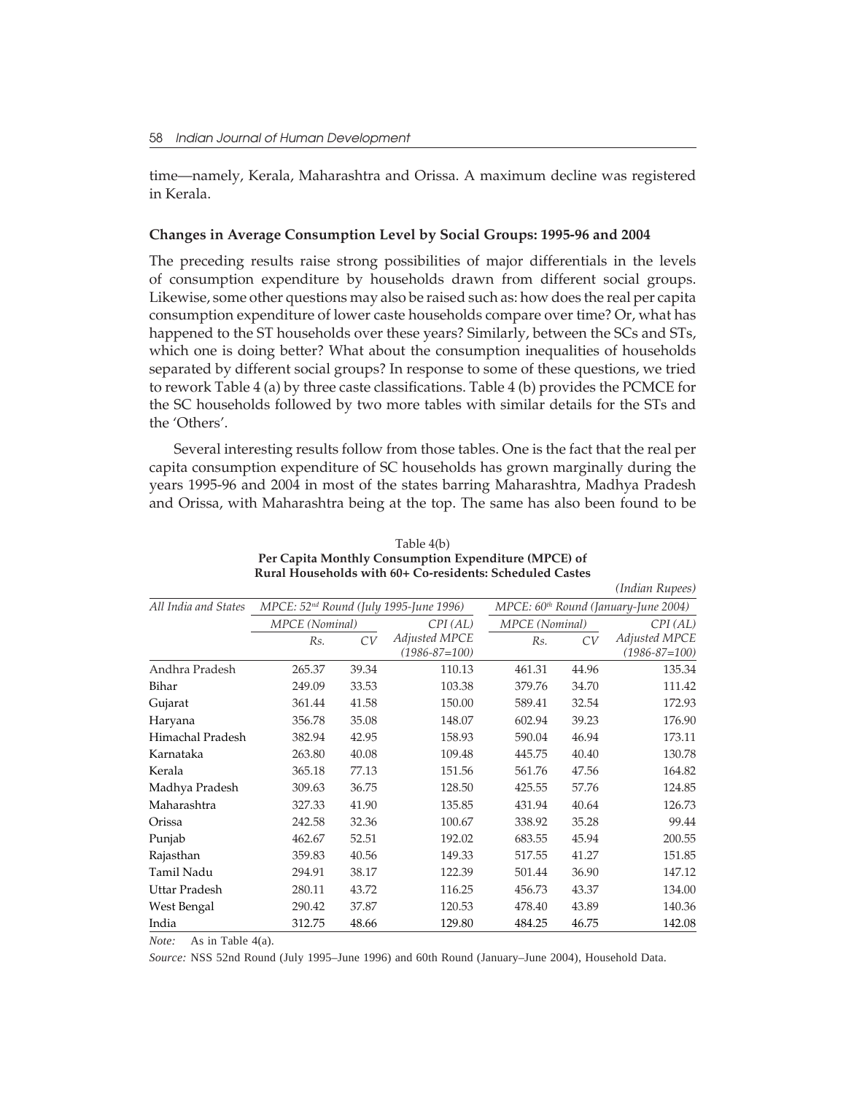time—namely, Kerala, Maharashtra and Orissa. A maximum decline was registered in Kerala.

### **Changes in Average Consumption Level by Social Groups: 1995-96 and 2004**

The preceding results raise strong possibilities of major differentials in the levels of consumption expenditure by households drawn from different social groups. Likewise, some other questions may also be raised such as: how does the real per capita consumption expenditure of lower caste households compare over time? Or, what has happened to the ST households over these years? Similarly, between the SCs and STs, which one is doing better? What about the consumption inequalities of households separated by different social groups? In response to some of these questions, we tried to rework Table 4 (a) by three caste classifications. Table 4 (b) provides the PCMCE for the SC households followed by two more tables with similar details for the STs and the 'Others'.

Several interesting results follow from those tables. One is the fact that the real per capita consumption expenditure of SC households has grown marginally during the years 1995-96 and 2004 in most of the states barring Maharashtra, Madhya Pradesh and Orissa, with Maharashtra being at the top. The same has also been found to be

|                      |                |       |                                                    |                |                                         | $\mu$ uuun $\mu$ upees) |  |  |
|----------------------|----------------|-------|----------------------------------------------------|----------------|-----------------------------------------|-------------------------|--|--|
| All India and States |                |       | MPCE: 52 <sup>nd</sup> Round (July 1995-June 1996) |                | $MPECE: 60th Round (January-June 2004)$ |                         |  |  |
|                      | MPCE (Nominal) |       | CPI (AL)                                           | MPCE (Nominal) |                                         | CPI (AL)                |  |  |
|                      | Rs.            | CV    | Adjusted MPCE                                      | Rs.            | CV                                      | Adjusted MPCE           |  |  |
|                      |                |       | $(1986 - 87 = 100)$                                |                |                                         | $(1986 - 87 = 100)$     |  |  |
| Andhra Pradesh       | 265.37         | 39.34 | 110.13                                             | 461.31         | 44.96                                   | 135.34                  |  |  |
| Bihar                | 249.09         | 33.53 | 103.38                                             | 379.76         | 34.70                                   | 111.42                  |  |  |
| Gujarat              | 361.44         | 41.58 | 150.00                                             | 589.41         | 32.54                                   | 172.93                  |  |  |
| Haryana              | 356.78         | 35.08 | 148.07                                             | 602.94         | 39.23                                   | 176.90                  |  |  |
| Himachal Pradesh     | 382.94         | 42.95 | 158.93                                             | 590.04         | 46.94                                   | 173.11                  |  |  |
| Karnataka            | 263.80         | 40.08 | 109.48                                             | 445.75         | 40.40                                   | 130.78                  |  |  |
| Kerala               | 365.18         | 77.13 | 151.56                                             | 561.76         | 47.56                                   | 164.82                  |  |  |
| Madhya Pradesh       | 309.63         | 36.75 | 128.50                                             | 425.55         | 57.76                                   | 124.85                  |  |  |
| Maharashtra          | 327.33         | 41.90 | 135.85                                             | 431.94         | 40.64                                   | 126.73                  |  |  |
| Orissa               | 242.58         | 32.36 | 100.67                                             | 338.92         | 35.28                                   | 99.44                   |  |  |
| Punjab               | 462.67         | 52.51 | 192.02                                             | 683.55         | 45.94                                   | 200.55                  |  |  |
| Rajasthan            | 359.83         | 40.56 | 149.33                                             | 517.55         | 41.27                                   | 151.85                  |  |  |
| Tamil Nadu           | 294.91         | 38.17 | 122.39                                             | 501.44         | 36.90                                   | 147.12                  |  |  |
| Uttar Pradesh        | 280.11         | 43.72 | 116.25                                             | 456.73         | 43.37                                   | 134.00                  |  |  |
| West Bengal          | 290.42         | 37.87 | 120.53                                             | 478.40         | 43.89                                   | 140.36                  |  |  |
| India                | 312.75         | 48.66 | 129.80                                             | 484.25         | 46.75                                   | 142.08                  |  |  |

Table 4(b) **Per Capita Monthly Consumption Expenditure (MPCE) of Rural Households with 60+ Co-residents: Scheduled Castes**

*(Indian Rupees)*

*Note:* As in Table 4(a).

*Source:* NSS 52nd Round (July 1995–June 1996) and 60th Round (January–June 2004), Household Data.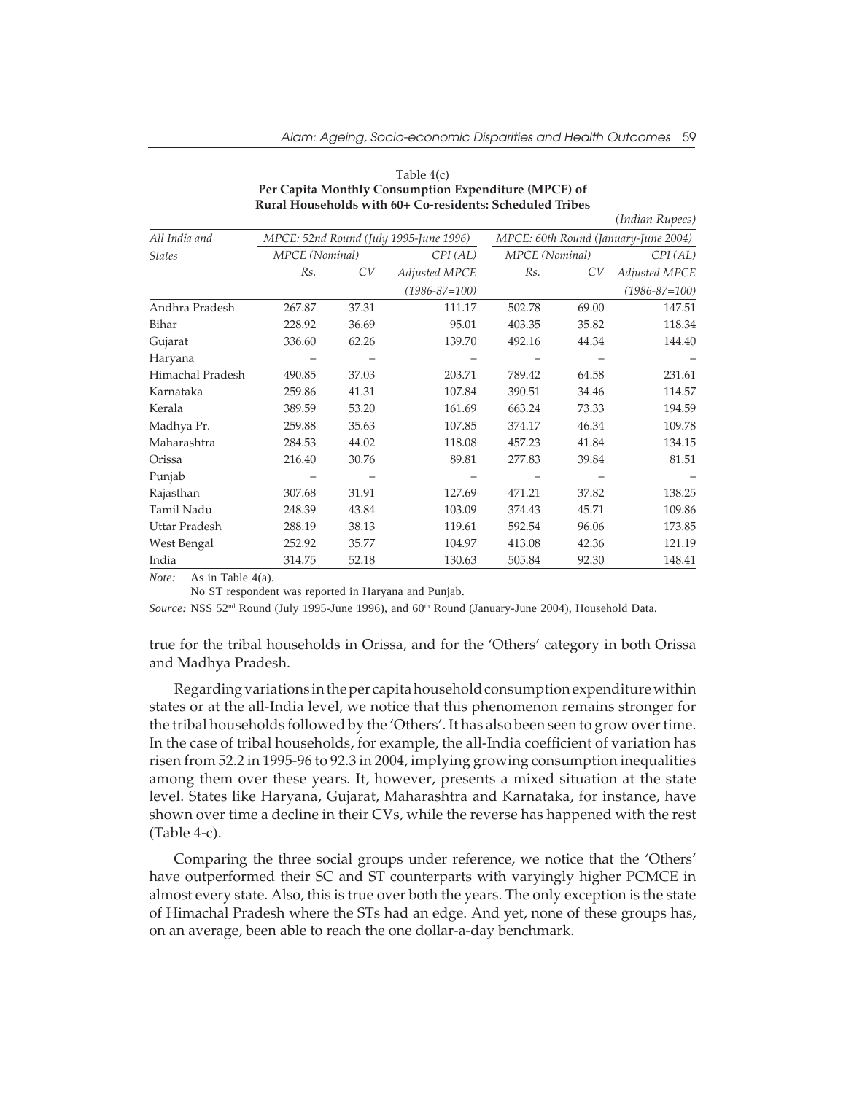*(Indian Rupees)*

|                  |                |       |                                        |                |       | $\mu$                                |
|------------------|----------------|-------|----------------------------------------|----------------|-------|--------------------------------------|
| All India and    |                |       | MPCE: 52nd Round (July 1995-June 1996) |                |       | MPCE: 60th Round (January-June 2004) |
| <i>States</i>    | MPCE (Nominal) |       | CPI(AL)                                | MPCE (Nominal) |       | CPI(AL)                              |
|                  | Rs.            | CV    | Adjusted MPCE                          | Rs.            | CV    | Adjusted MPCE                        |
|                  |                |       | $(1986 - 87 = 100)$                    |                |       | $(1986 - 87 = 100)$                  |
| Andhra Pradesh   | 267.87         | 37.31 | 111.17                                 | 502.78         | 69.00 | 147.51                               |
| Bihar            | 228.92         | 36.69 | 95.01                                  | 403.35         | 35.82 | 118.34                               |
| Gujarat          | 336.60         | 62.26 | 139.70                                 | 492.16         | 44.34 | 144.40                               |
| Haryana          |                |       |                                        |                |       |                                      |
| Himachal Pradesh | 490.85         | 37.03 | 203.71                                 | 789.42         | 64.58 | 231.61                               |
| Karnataka        | 259.86         | 41.31 | 107.84                                 | 390.51         | 34.46 | 114.57                               |
| Kerala           | 389.59         | 53.20 | 161.69                                 | 663.24         | 73.33 | 194.59                               |
| Madhya Pr.       | 259.88         | 35.63 | 107.85                                 | 374.17         | 46.34 | 109.78                               |
| Maharashtra      | 284.53         | 44.02 | 118.08                                 | 457.23         | 41.84 | 134.15                               |
| Orissa           | 216.40         | 30.76 | 89.81                                  | 277.83         | 39.84 | 81.51                                |
| Punjab           |                |       |                                        |                |       |                                      |
| Rajasthan        | 307.68         | 31.91 | 127.69                                 | 471.21         | 37.82 | 138.25                               |
| Tamil Nadu       | 248.39         | 43.84 | 103.09                                 | 374.43         | 45.71 | 109.86                               |
| Uttar Pradesh    | 288.19         | 38.13 | 119.61                                 | 592.54         | 96.06 | 173.85                               |
| West Bengal      | 252.92         | 35.77 | 104.97                                 | 413.08         | 42.36 | 121.19                               |
| India            | 314.75         | 52.18 | 130.63                                 | 505.84         | 92.30 | 148.41                               |

### Table 4(c) **Per Capita Monthly Consumption Expenditure (MPCE) of Rural Households with 60+ Co-residents: Scheduled Tribes**

*Note:* As in Table 4(a).

No ST respondent was reported in Haryana and Punjab.

Source: NSS 52<sup>nd</sup> Round (July 1995-June 1996), and 60<sup>th</sup> Round (January-June 2004), Household Data.

true for the tribal households in Orissa, and for the 'Others' category in both Orissa and Madhya Pradesh.

Regarding variations in the per capita household consumption expenditure within states or at the all-India level, we notice that this phenomenon remains stronger for the tribal households followed by the 'Others'. It has also been seen to grow over time. In the case of tribal households, for example, the all-India coefficient of variation has risen from 52.2 in 1995-96 to 92.3 in 2004, implying growing consumption inequalities among them over these years. It, however, presents a mixed situation at the state level. States like Haryana, Gujarat, Maharashtra and Karnataka, for instance, have shown over time a decline in their CVs, while the reverse has happened with the rest (Table 4-c).

Comparing the three social groups under reference, we notice that the 'Others' have outperformed their SC and ST counterparts with varyingly higher PCMCE in almost every state. Also, this is true over both the years. The only exception is the state of Himachal Pradesh where the STs had an edge. And yet, none of these groups has, on an average, been able to reach the one dollar-a-day benchmark.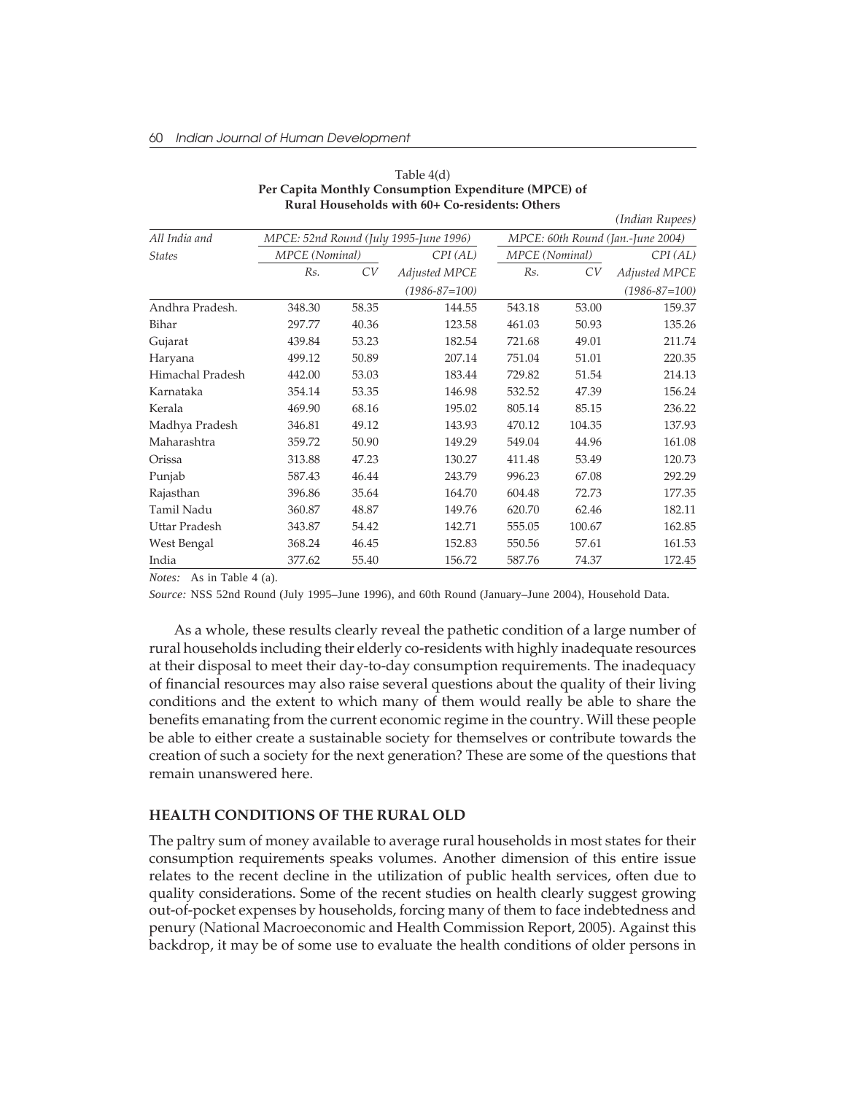## 60 Indian Journal of Human Development

|                  |                       |       |                                        |                       |        | $\mu$                             |
|------------------|-----------------------|-------|----------------------------------------|-----------------------|--------|-----------------------------------|
| All India and    |                       |       | MPCE: 52nd Round (July 1995-June 1996) |                       |        | MPCE: 60th Round (Jan.-June 2004) |
| <b>States</b>    | <b>MPCE</b> (Nominal) |       | CPI (AL)                               | <b>MPCE</b> (Nominal) |        | CPI (AL)                          |
|                  | Rs.                   | CV    | Adjusted MPCE                          | Rs.                   | CV     | Adjusted MPCE                     |
|                  |                       |       | $(1986 - 87 = 100)$                    |                       |        | $(1986 - 87 = 100)$               |
| Andhra Pradesh.  | 348.30                | 58.35 | 144.55                                 | 543.18                | 53.00  | 159.37                            |
| Bihar            | 297.77                | 40.36 | 123.58                                 | 461.03                | 50.93  | 135.26                            |
| Gujarat          | 439.84                | 53.23 | 182.54                                 | 721.68                | 49.01  | 211.74                            |
| Haryana          | 499.12                | 50.89 | 207.14                                 | 751.04                | 51.01  | 220.35                            |
| Himachal Pradesh | 442.00                | 53.03 | 183.44                                 | 729.82                | 51.54  | 214.13                            |
| Karnataka        | 354.14                | 53.35 | 146.98                                 | 532.52                | 47.39  | 156.24                            |
| Kerala           | 469.90                | 68.16 | 195.02                                 | 805.14                | 85.15  | 236.22                            |
| Madhya Pradesh   | 346.81                | 49.12 | 143.93                                 | 470.12                | 104.35 | 137.93                            |
| Maharashtra      | 359.72                | 50.90 | 149.29                                 | 549.04                | 44.96  | 161.08                            |
| Orissa           | 313.88                | 47.23 | 130.27                                 | 411.48                | 53.49  | 120.73                            |
| Punjab           | 587.43                | 46.44 | 243.79                                 | 996.23                | 67.08  | 292.29                            |
| Rajasthan        | 396.86                | 35.64 | 164.70                                 | 604.48                | 72.73  | 177.35                            |
| Tamil Nadu       | 360.87                | 48.87 | 149.76                                 | 620.70                | 62.46  | 182.11                            |
| Uttar Pradesh    | 343.87                | 54.42 | 142.71                                 | 555.05                | 100.67 | 162.85                            |
| West Bengal      | 368.24                | 46.45 | 152.83                                 | 550.56                | 57.61  | 161.53                            |
| India            | 377.62                | 55.40 | 156.72                                 | 587.76                | 74.37  | 172.45                            |

#### Table 4(d) **Per Capita Monthly Consumption Expenditure (MPCE) of Rural Households with 60+ Co-residents: Others**

*(Indian Rupees)*

*Notes:* As in Table 4 (a).

*Source:* NSS 52nd Round (July 1995–June 1996), and 60th Round (January–June 2004), Household Data.

As a whole, these results clearly reveal the pathetic condition of a large number of rural households including their elderly co-residents with highly inadequate resources at their disposal to meet their day-to-day consumption requirements. The inadequacy of financial resources may also raise several questions about the quality of their living conditions and the extent to which many of them would really be able to share the benefits emanating from the current economic regime in the country. Will these people be able to either create a sustainable society for themselves or contribute towards the creation of such a society for the next generation? These are some of the questions that remain unanswered here.

## **HEALTH CONDITIONS OF THE RURAL OLD**

The paltry sum of money available to average rural households in most states for their consumption requirements speaks volumes. Another dimension of this entire issue relates to the recent decline in the utilization of public health services, often due to quality considerations. Some of the recent studies on health clearly suggest growing out-of-pocket expenses by households, forcing many of them to face indebtedness and penury (National Macroeconomic and Health Commission Report, 2005). Against this backdrop, it may be of some use to evaluate the health conditions of older persons in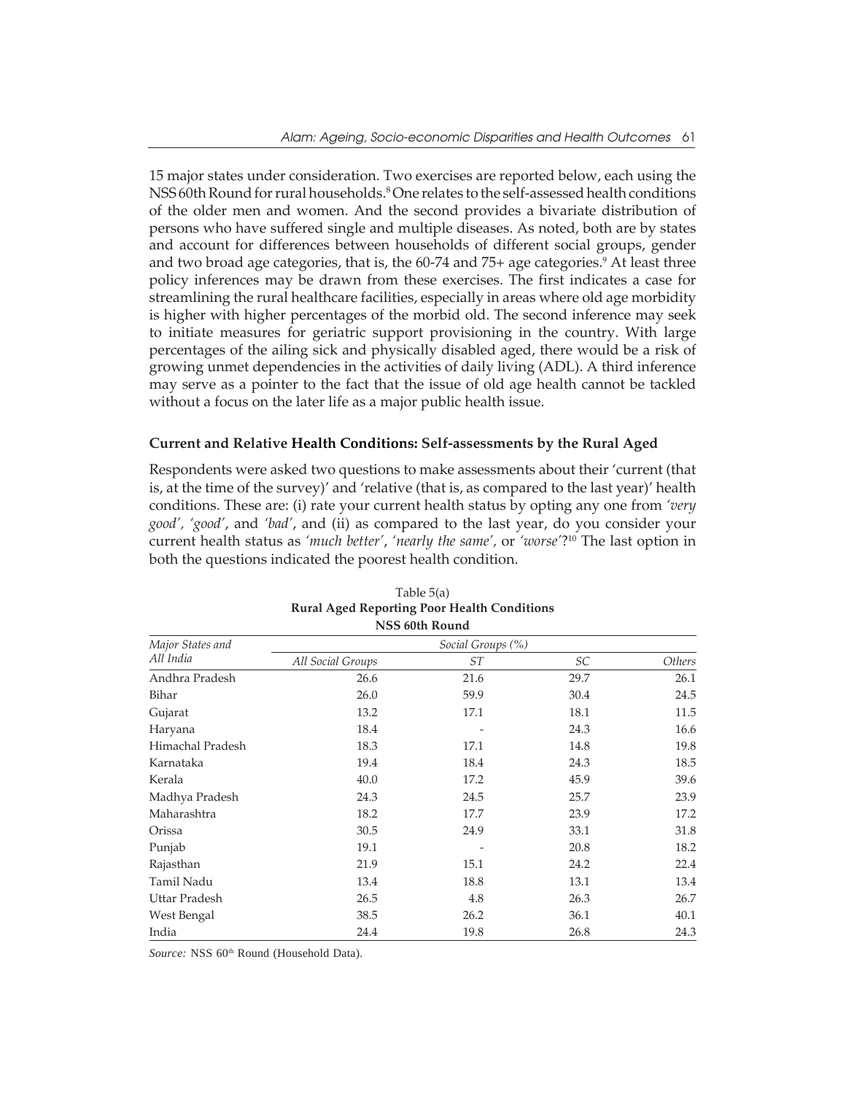15 major states under consideration. Two exercises are reported below, each using the NSS 60th Round for rural households.<sup>8</sup> One relates to the self-assessed health conditions of the older men and women. And the second provides a bivariate distribution of persons who have suffered single and multiple diseases. As noted, both are by states and account for differences between households of different social groups, gender and two broad age categories, that is, the 60-74 and 75+ age categories.<sup>9</sup> At least three policy inferences may be drawn from these exercises. The first indicates a case for streamlining the rural healthcare facilities, especially in areas where old age morbidity is higher with higher percentages of the morbid old. The second inference may seek to initiate measures for geriatric support provisioning in the country. With large percentages of the ailing sick and physically disabled aged, there would be a risk of growing unmet dependencies in the activities of daily living (ADL). A third inference may serve as a pointer to the fact that the issue of old age health cannot be tackled without a focus on the later life as a major public health issue.

## **Current and Relative Health Conditions: Self-assessments by the Rural Aged**

Respondents were asked two questions to make assessments about their 'current (that is, at the time of the survey)' and 'relative (that is, as compared to the last year)' health conditions. These are: (i) rate your current health status by opting any one from *'very good', 'good'*, and *'bad'*, and (ii) as compared to the last year, do you consider your current health status as *'much better'*, *'nearly the same',* or *'worse'*?10 The last option in both the questions indicated the poorest health condition.

|                  | NSS 60th Round    |                   |      |               |  |  |  |  |  |  |  |
|------------------|-------------------|-------------------|------|---------------|--|--|--|--|--|--|--|
| Major States and |                   | Social Groups (%) |      |               |  |  |  |  |  |  |  |
| All India        | All Social Groups | ST                | SС   | <i>Others</i> |  |  |  |  |  |  |  |
| Andhra Pradesh   | 26.6              | 21.6              | 29.7 | 26.1          |  |  |  |  |  |  |  |
| Bihar            | 26.0              | 59.9              | 30.4 | 24.5          |  |  |  |  |  |  |  |
| Gujarat          | 13.2              | 17.1              | 18.1 | 11.5          |  |  |  |  |  |  |  |
| Haryana          | 18.4              |                   | 24.3 | 16.6          |  |  |  |  |  |  |  |
| Himachal Pradesh | 18.3              | 17.1              | 14.8 | 19.8          |  |  |  |  |  |  |  |
| Karnataka        | 19.4              | 18.4              | 24.3 | 18.5          |  |  |  |  |  |  |  |
| Kerala           | 40.0              | 17.2              | 45.9 | 39.6          |  |  |  |  |  |  |  |
| Madhya Pradesh   | 24.3              | 24.5              | 25.7 | 23.9          |  |  |  |  |  |  |  |
| Maharashtra      | 18.2              | 17.7              | 23.9 | 17.2          |  |  |  |  |  |  |  |
| Orissa           | 30.5              | 24.9              | 33.1 | 31.8          |  |  |  |  |  |  |  |
| Punjab           | 19.1              |                   | 20.8 | 18.2          |  |  |  |  |  |  |  |
| Rajasthan        | 21.9              | 15.1              | 24.2 | 22.4          |  |  |  |  |  |  |  |
| Tamil Nadu       | 13.4              | 18.8              | 13.1 | 13.4          |  |  |  |  |  |  |  |
| Uttar Pradesh    | 26.5              | 4.8               | 26.3 | 26.7          |  |  |  |  |  |  |  |
| West Bengal      | 38.5              | 26.2              | 36.1 | 40.1          |  |  |  |  |  |  |  |
| India            | 24.4              | 19.8              | 26.8 | 24.3          |  |  |  |  |  |  |  |

## Table 5(a) **Rural Aged Reporting Poor Health Conditions**

Source: NSS 60<sup>th</sup> Round (Household Data).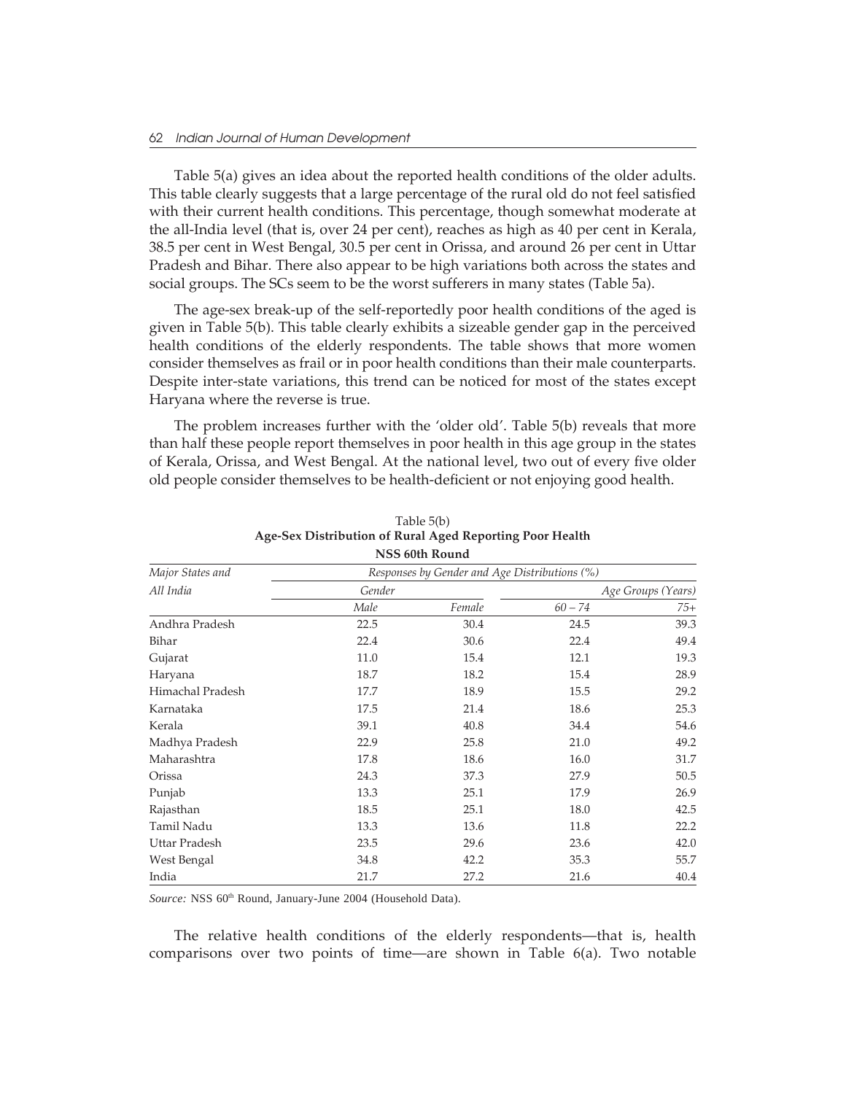Table 5(a) gives an idea about the reported health conditions of the older adults. This table clearly suggests that a large percentage of the rural old do not feel satisfied with their current health conditions. This percentage, though somewhat moderate at the all-India level (that is, over 24 per cent), reaches as high as 40 per cent in Kerala, 38.5 per cent in West Bengal, 30.5 per cent in Orissa, and around 26 per cent in Uttar Pradesh and Bihar. There also appear to be high variations both across the states and social groups. The SCs seem to be the worst sufferers in many states (Table 5a).

The age-sex break-up of the self-reportedly poor health conditions of the aged is given in Table 5(b). This table clearly exhibits a sizeable gender gap in the perceived health conditions of the elderly respondents. The table shows that more women consider themselves as frail or in poor health conditions than their male counterparts. Despite inter-state variations, this trend can be noticed for most of the states except Haryana where the reverse is true.

The problem increases further with the 'older old'. Table 5(b) reveals that more than half these people report themselves in poor health in this age group in the states of Kerala, Orissa, and West Bengal. At the national level, two out of every five older old people consider themselves to be health-deficient or not enjoying good health.

|                      |                                               | NSS 60th Kound |                    |       |  |  |  |
|----------------------|-----------------------------------------------|----------------|--------------------|-------|--|--|--|
| Major States and     | Responses by Gender and Age Distributions (%) |                |                    |       |  |  |  |
| All India            | Gender                                        |                | Age Groups (Years) |       |  |  |  |
|                      | Male                                          | Female         | $60 - 74$          | $75+$ |  |  |  |
| Andhra Pradesh       | 22.5                                          | 30.4           | 24.5               | 39.3  |  |  |  |
| Bihar                | 22.4                                          | 30.6           | 22.4               | 49.4  |  |  |  |
| Gujarat              | 11.0                                          | 15.4           | 12.1               | 19.3  |  |  |  |
| Haryana              | 18.7                                          | 18.2           | 15.4               | 28.9  |  |  |  |
| Himachal Pradesh     | 17.7                                          | 18.9           | 15.5               | 29.2  |  |  |  |
| Karnataka            | 17.5                                          | 21.4           | 18.6               | 25.3  |  |  |  |
| Kerala               | 39.1                                          | 40.8           | 34.4               | 54.6  |  |  |  |
| Madhya Pradesh       | 22.9                                          | 25.8           | 21.0               | 49.2  |  |  |  |
| Maharashtra          | 17.8                                          | 18.6           | 16.0               | 31.7  |  |  |  |
| Orissa               | 24.3                                          | 37.3           | 27.9               | 50.5  |  |  |  |
| Punjab               | 13.3                                          | 25.1           | 17.9               | 26.9  |  |  |  |
| Rajasthan            | 18.5                                          | 25.1           | 18.0               | 42.5  |  |  |  |
| Tamil Nadu           | 13.3                                          | 13.6           | 11.8               | 22.2  |  |  |  |
| <b>Uttar Pradesh</b> | 23.5                                          | 29.6           | 23.6               | 42.0  |  |  |  |
| West Bengal          | 34.8                                          | 42.2           | 35.3               | 55.7  |  |  |  |
| India                | 21.7                                          | 27.2           | 21.6               | 40.4  |  |  |  |

Table 5(b) **Age-Sex Distribution of Rural Aged Reporting Poor Health NICC 60th D** 

Source: NSS 60<sup>th</sup> Round, January-June 2004 (Household Data).

The relative health conditions of the elderly respondents—that is, health comparisons over two points of time—are shown in Table 6(a). Two notable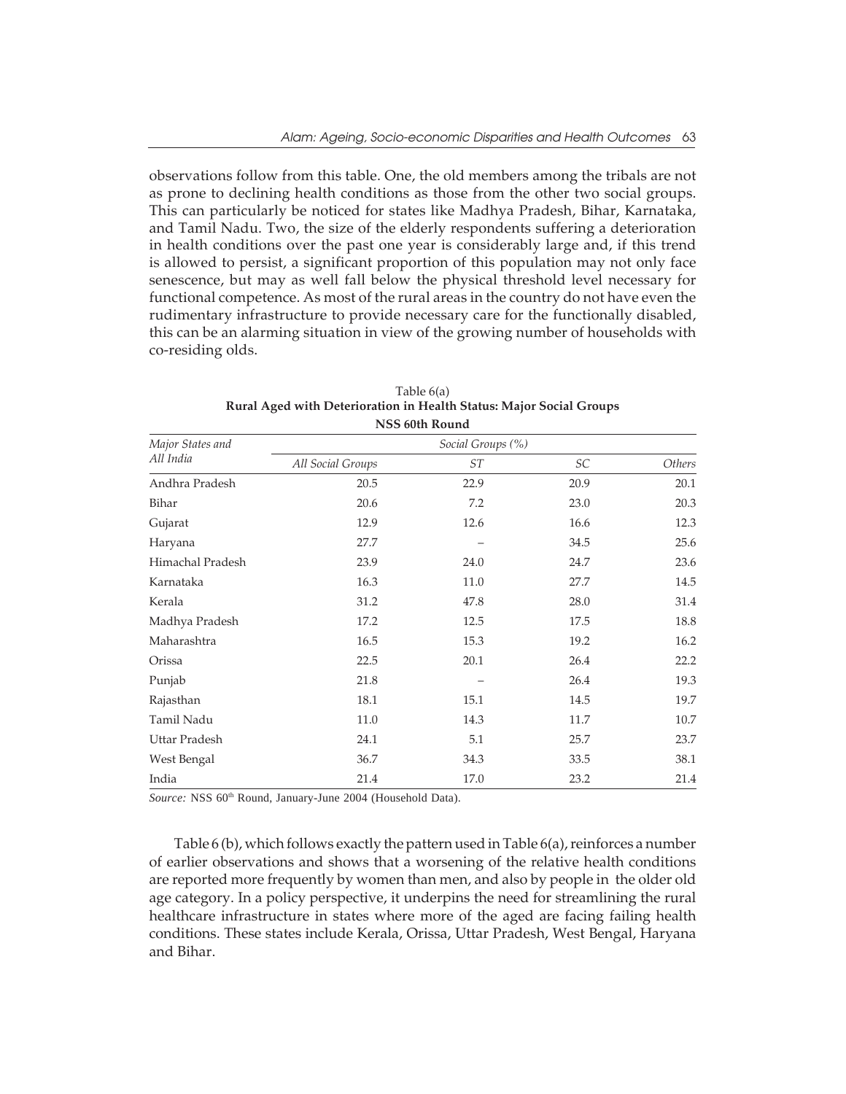observations follow from this table. One, the old members among the tribals are not as prone to declining health conditions as those from the other two social groups. This can particularly be noticed for states like Madhya Pradesh, Bihar, Karnataka, and Tamil Nadu. Two, the size of the elderly respondents suffering a deterioration in health conditions over the past one year is considerably large and, if this trend is allowed to persist, a significant proportion of this population may not only face senescence, but may as well fall below the physical threshold level necessary for functional competence. As most of the rural areas in the country do not have even the rudimentary infrastructure to provide necessary care for the functionally disabled, this can be an alarming situation in view of the growing number of households with co-residing olds.

| Major States and |                   | Social Groups (%) |      |               |
|------------------|-------------------|-------------------|------|---------------|
| All India        | All Social Groups | SТ                | SC   | <i>Others</i> |
| Andhra Pradesh   | 20.5              | 22.9              | 20.9 | 20.1          |
| Bihar            | 20.6              | 7.2               | 23.0 | 20.3          |
| Gujarat          | 12.9              | 12.6              | 16.6 | 12.3          |
| Haryana          | 27.7              |                   | 34.5 | 25.6          |
| Himachal Pradesh | 23.9              | 24.0              | 24.7 | 23.6          |
| Karnataka        | 16.3              | 11.0              | 27.7 | 14.5          |
| Kerala           | 31.2              | 47.8              | 28.0 | 31.4          |
| Madhya Pradesh   | 17.2              | 12.5              | 17.5 | 18.8          |
| Maharashtra      | 16.5              | 15.3              | 19.2 | 16.2          |
| Orissa           | 22.5              | 20.1              | 26.4 | 22.2          |
| Punjab           | 21.8              |                   | 26.4 | 19.3          |
| Rajasthan        | 18.1              | 15.1              | 14.5 | 19.7          |
| Tamil Nadu       | 11.0              | 14.3              | 11.7 | 10.7          |
| Uttar Pradesh    | 24.1              | 5.1               | 25.7 | 23.7          |
| West Bengal      | 36.7              | 34.3              | 33.5 | 38.1          |
| India            | 21.4              | 17.0              | 23.2 | 21.4          |

Table 6(a) **Rural Aged with Deterioration in Health Status: Major Social Groups NSS 60th Round**

Source: NSS 60<sup>th</sup> Round, January-June 2004 (Household Data).

Table 6 (b), which follows exactly the pattern used in Table 6(a), reinforces a number of earlier observations and shows that a worsening of the relative health conditions are reported more frequently by women than men, and also by people in the older old age category. In a policy perspective, it underpins the need for streamlining the rural healthcare infrastructure in states where more of the aged are facing failing health conditions. These states include Kerala, Orissa, Uttar Pradesh, West Bengal, Haryana and Bihar.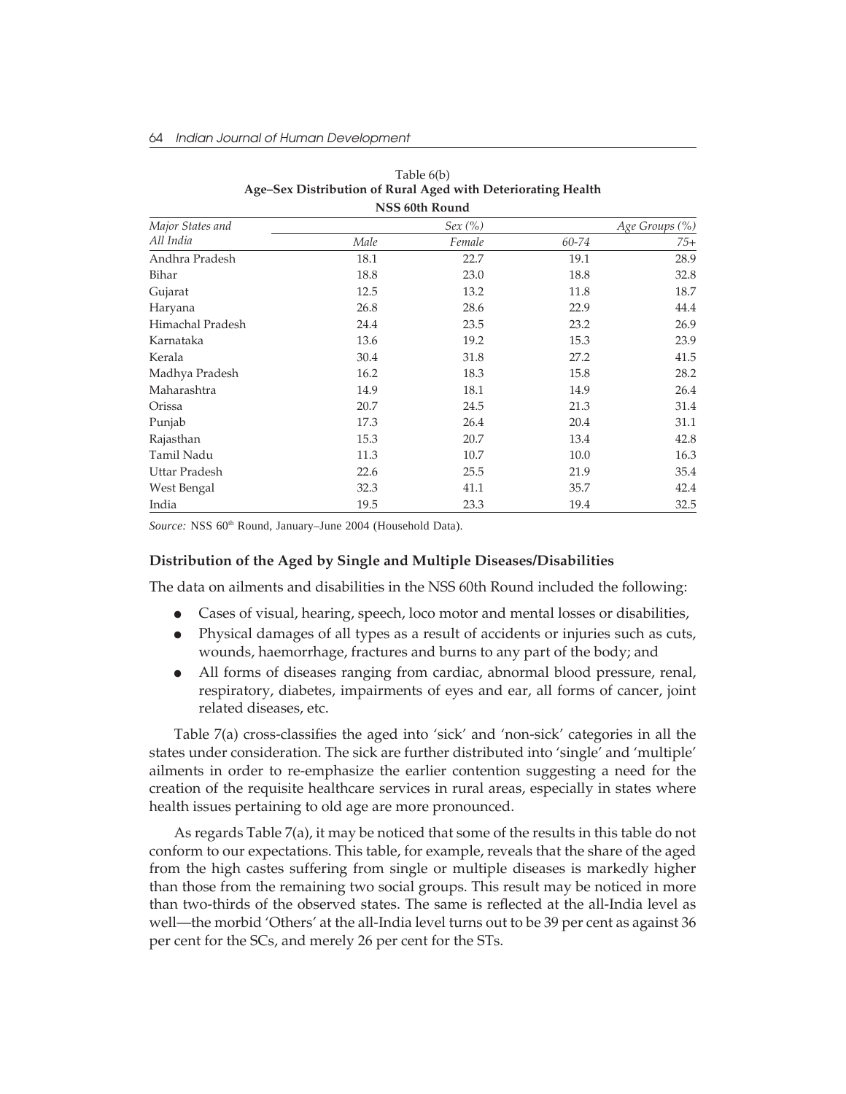## 64 Indian Journal of Human Development

| NSS buth Kound   |      |           |       |                |  |  |  |  |  |
|------------------|------|-----------|-------|----------------|--|--|--|--|--|
| Major States and |      | $Sex$ (%) |       | Age Groups (%) |  |  |  |  |  |
| All India        | Male | Female    | 60-74 | $75+$          |  |  |  |  |  |
| Andhra Pradesh   | 18.1 | 22.7      | 19.1  | 28.9           |  |  |  |  |  |
| Bihar            | 18.8 | 23.0      | 18.8  | 32.8           |  |  |  |  |  |
| Gujarat          | 12.5 | 13.2      | 11.8  | 18.7           |  |  |  |  |  |
| Haryana          | 26.8 | 28.6      | 22.9  | 44.4           |  |  |  |  |  |
| Himachal Pradesh | 24.4 | 23.5      | 23.2  | 26.9           |  |  |  |  |  |
| Karnataka        | 13.6 | 19.2      | 15.3  | 23.9           |  |  |  |  |  |
| Kerala           | 30.4 | 31.8      | 27.2  | 41.5           |  |  |  |  |  |
| Madhya Pradesh   | 16.2 | 18.3      | 15.8  | 28.2           |  |  |  |  |  |
| Maharashtra      | 14.9 | 18.1      | 14.9  | 26.4           |  |  |  |  |  |
| Orissa           | 20.7 | 24.5      | 21.3  | 31.4           |  |  |  |  |  |
| Punjab           | 17.3 | 26.4      | 20.4  | 31.1           |  |  |  |  |  |
| Rajasthan        | 15.3 | 20.7      | 13.4  | 42.8           |  |  |  |  |  |
| Tamil Nadu       | 11.3 | 10.7      | 10.0  | 16.3           |  |  |  |  |  |
| Uttar Pradesh    | 22.6 | 25.5      | 21.9  | 35.4           |  |  |  |  |  |
| West Bengal      | 32.3 | 41.1      | 35.7  | 42.4           |  |  |  |  |  |
| India            | 19.5 | 23.3      | 19.4  | 32.5           |  |  |  |  |  |

## Table 6(b) **Age–Sex Distribution of Rural Aged with Deteriorating Health NSS 60th R**

Source: NSS 60<sup>th</sup> Round, January–June 2004 (Household Data).

## **Distribution of the Aged by Single and Multiple Diseases/Disabilities**

The data on ailments and disabilities in the NSS 60th Round included the following:

- Cases of visual, hearing, speech, loco motor and mental losses or disabilities,
- <sup>l</sup>Physical damages of all types as a result of accidents or injuries such as cuts, wounds, haemorrhage, fractures and burns to any part of the body; and
- All forms of diseases ranging from cardiac, abnormal blood pressure, renal, respiratory, diabetes, impairments of eyes and ear, all forms of cancer, joint related diseases, etc.

Table 7(a) cross-classifies the aged into 'sick' and 'non-sick' categories in all the states under consideration. The sick are further distributed into 'single' and 'multiple' ailments in order to re-emphasize the earlier contention suggesting a need for the creation of the requisite healthcare services in rural areas, especially in states where health issues pertaining to old age are more pronounced.

As regards Table 7(a), it may be noticed that some of the results in this table do not conform to our expectations. This table, for example, reveals that the share of the aged from the high castes suffering from single or multiple diseases is markedly higher than those from the remaining two social groups. This result may be noticed in more than two-thirds of the observed states. The same is reflected at the all-India level as well—the morbid 'Others' at the all-India level turns out to be 39 per cent as against 36 per cent for the SCs, and merely 26 per cent for the STs.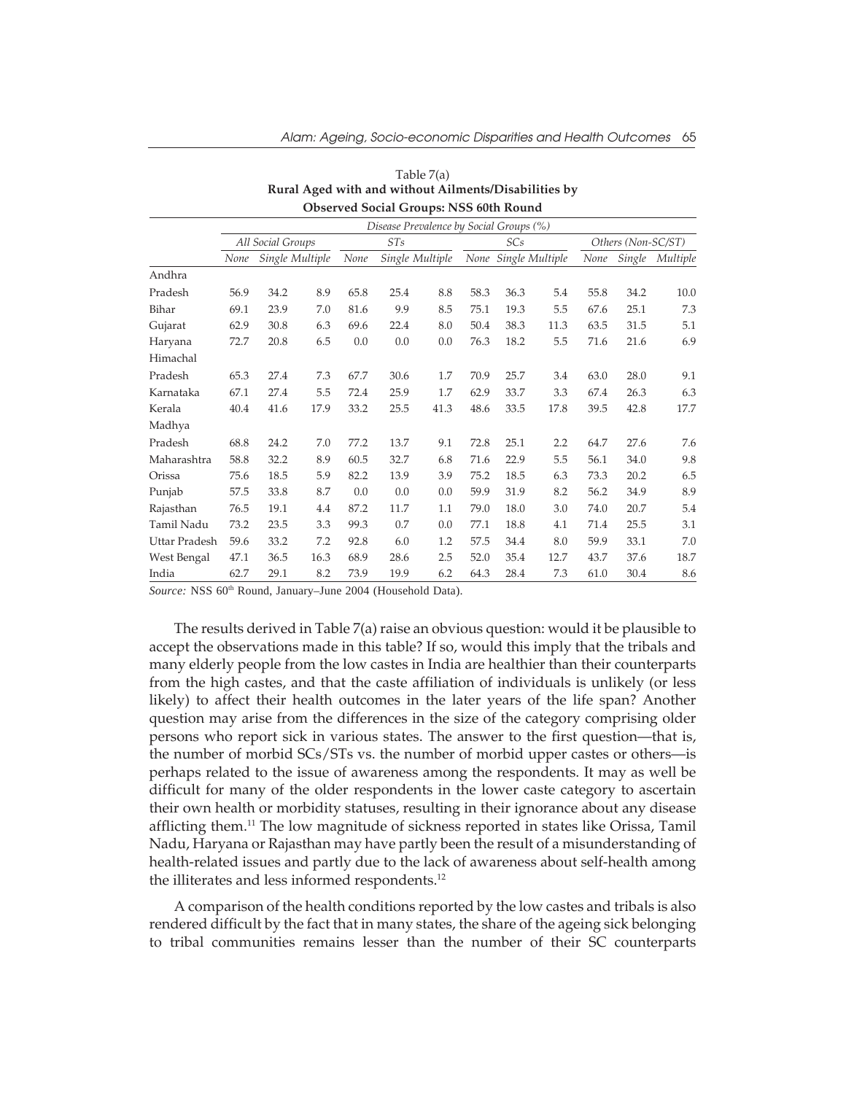|               |      |                   |                 |      |      |                                               |      |            | Rural Aged with and without Ailments/Disabilities by |      |                    |          |
|---------------|------|-------------------|-----------------|------|------|-----------------------------------------------|------|------------|------------------------------------------------------|------|--------------------|----------|
|               |      |                   |                 |      |      | <b>Observed Social Groups: NSS 60th Round</b> |      |            |                                                      |      |                    |          |
|               |      |                   |                 |      |      | Disease Prevalence by Social Groups (%)       |      |            |                                                      |      |                    |          |
|               |      | All Social Groups |                 |      | STs  |                                               |      | <b>SCs</b> |                                                      |      | Others (Non-SC/ST) |          |
|               | None |                   | Single Multiple | None |      | Single Multiple                               |      |            | None Single Multiple                                 | None | Single             | Multiple |
| Andhra        |      |                   |                 |      |      |                                               |      |            |                                                      |      |                    |          |
| Pradesh       | 56.9 | 34.2              | 8.9             | 65.8 | 25.4 | 8.8                                           | 58.3 | 36.3       | 5.4                                                  | 55.8 | 34.2               | 10.0     |
| Bihar         | 69.1 | 23.9              | 7.0             | 81.6 | 9.9  | 8.5                                           | 75.1 | 19.3       | 5.5                                                  | 67.6 | 25.1               | 7.3      |
| Gujarat       | 62.9 | 30.8              | 6.3             | 69.6 | 22.4 | 8.0                                           | 50.4 | 38.3       | 11.3                                                 | 63.5 | 31.5               | 5.1      |
| Haryana       | 72.7 | 20.8              | 6.5             | 0.0  | 0.0  | 0.0                                           | 76.3 | 18.2       | 5.5                                                  | 71.6 | 21.6               | 6.9      |
| Himachal      |      |                   |                 |      |      |                                               |      |            |                                                      |      |                    |          |
| Pradesh       | 65.3 | 27.4              | 7.3             | 67.7 | 30.6 | 1.7                                           | 70.9 | 25.7       | 3.4                                                  | 63.0 | 28.0               | 9.1      |
| Karnataka     | 67.1 | 27.4              | 5.5             | 72.4 | 25.9 | 1.7                                           | 62.9 | 33.7       | 3.3                                                  | 67.4 | 26.3               | 6.3      |
| Kerala        | 40.4 | 41.6              | 17.9            | 33.2 | 25.5 | 41.3                                          | 48.6 | 33.5       | 17.8                                                 | 39.5 | 42.8               | 17.7     |
| Madhya        |      |                   |                 |      |      |                                               |      |            |                                                      |      |                    |          |
| Pradesh       | 68.8 | 24.2              | 7.0             | 77.2 | 13.7 | 9.1                                           | 72.8 | 25.1       | 2.2                                                  | 64.7 | 27.6               | 7.6      |
| Maharashtra   | 58.8 | 32.2              | 8.9             | 60.5 | 32.7 | 6.8                                           | 71.6 | 22.9       | 5.5                                                  | 56.1 | 34.0               | 9.8      |
| Orissa        | 75.6 | 18.5              | 5.9             | 82.2 | 13.9 | 3.9                                           | 75.2 | 18.5       | 6.3                                                  | 73.3 | 20.2               | 6.5      |
| Punjab        | 57.5 | 33.8              | 8.7             | 0.0  | 0.0  | 0.0                                           | 59.9 | 31.9       | 8.2                                                  | 56.2 | 34.9               | 8.9      |
| Rajasthan     | 76.5 | 19.1              | 4.4             | 87.2 | 11.7 | 1.1                                           | 79.0 | 18.0       | 3.0                                                  | 74.0 | 20.7               | 5.4      |
| Tamil Nadu    | 73.2 | 23.5              | 3.3             | 99.3 | 0.7  | 0.0                                           | 77.1 | 18.8       | 4.1                                                  | 71.4 | 25.5               | 3.1      |
| Uttar Pradesh | 59.6 | 33.2              | 7.2             | 92.8 | 6.0  | 1.2                                           | 57.5 | 34.4       | 8.0                                                  | 59.9 | 33.1               | 7.0      |
| West Bengal   | 47.1 | 36.5              | 16.3            | 68.9 | 28.6 | 2.5                                           | 52.0 | 35.4       | 12.7                                                 | 43.7 | 37.6               | 18.7     |
| India         | 62.7 | 29.1              | 8.2             | 73.9 | 19.9 | 6.2                                           | 64.3 | 28.4       | 7.3                                                  | 61.0 | 30.4               | 8.6      |

Table 7(a)

Source: NSS 60<sup>th</sup> Round, January-June 2004 (Household Data).

The results derived in Table 7(a) raise an obvious question: would it be plausible to accept the observations made in this table? If so, would this imply that the tribals and many elderly people from the low castes in India are healthier than their counterparts from the high castes, and that the caste affiliation of individuals is unlikely (or less likely) to affect their health outcomes in the later years of the life span? Another question may arise from the differences in the size of the category comprising older persons who report sick in various states. The answer to the first question—that is, the number of morbid SCs/STs vs. the number of morbid upper castes or others—is perhaps related to the issue of awareness among the respondents. It may as well be difficult for many of the older respondents in the lower caste category to ascertain their own health or morbidity statuses, resulting in their ignorance about any disease afflicting them.11 The low magnitude of sickness reported in states like Orissa, Tamil Nadu, Haryana or Rajasthan may have partly been the result of a misunderstanding of health-related issues and partly due to the lack of awareness about self-health among the illiterates and less informed respondents.<sup>12</sup>

A comparison of the health conditions reported by the low castes and tribals is also rendered difficult by the fact that in many states, the share of the ageing sick belonging to tribal communities remains lesser than the number of their SC counterparts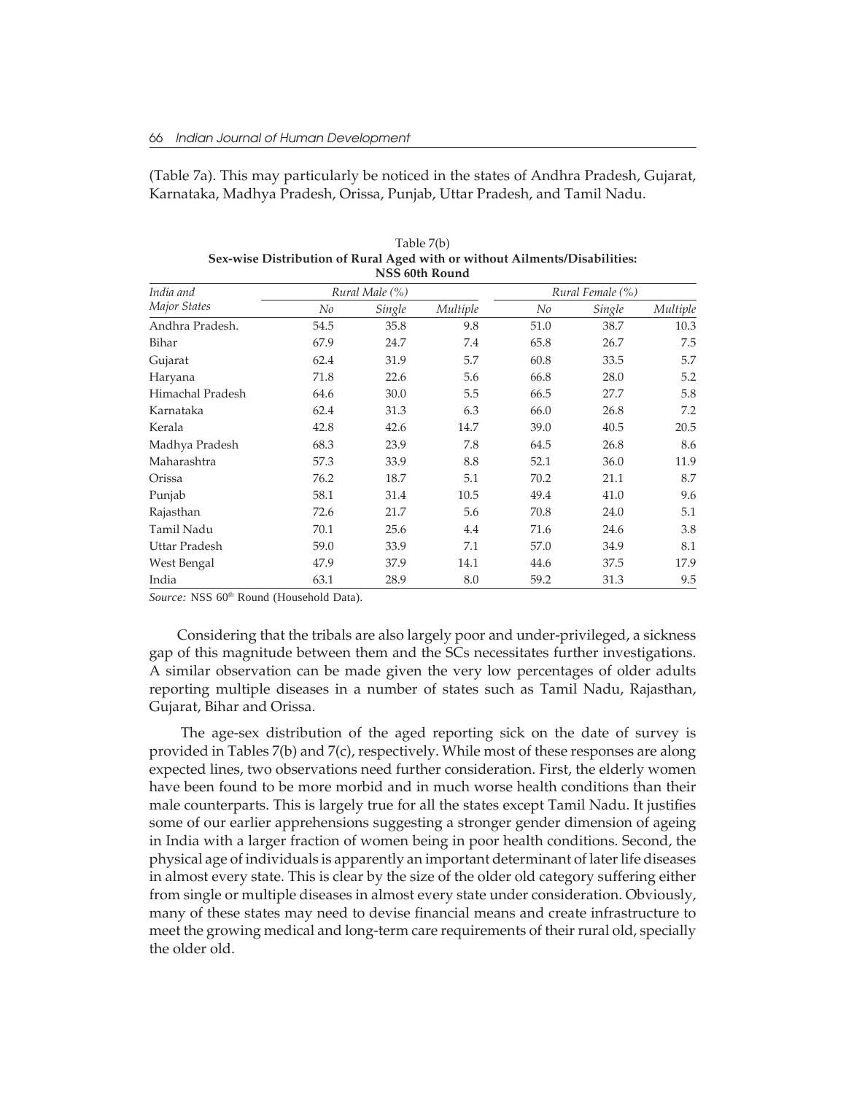(Table 7a). This may particularly be noticed in the states of Andhra Pradesh, Gujarat, Karnataka, Madhya Pradesh, Orissa, Punjab, Uttar Pradesh, and Tamil Nadu.

|                  |      |                | NSS 60th Round |      |                  |          |
|------------------|------|----------------|----------------|------|------------------|----------|
| India and        |      | Rural Male (%) |                |      | Rural Female (%) |          |
| Major States     | No   | Single         | Multiple       | No   | Single           | Multiple |
| Andhra Pradesh.  | 54.5 | 35.8           | 9.8            | 51.0 | 38.7             | 10.3     |
| Bihar            | 67.9 | 24.7           | 7.4            | 65.8 | 26.7             | 7.5      |
| Gujarat          | 62.4 | 31.9           | 5.7            | 60.8 | 33.5             | 5.7      |
| Haryana          | 71.8 | 22.6           | 5.6            | 66.8 | 28.0             | 5.2      |
| Himachal Pradesh | 64.6 | 30.0           | 5.5            | 66.5 | 27.7             | 5.8      |
| Karnataka        | 62.4 | 31.3           | 6.3            | 66.0 | 26.8             | 7.2      |
| Kerala           | 42.8 | 42.6           | 14.7           | 39.0 | 40.5             | 20.5     |
| Madhya Pradesh   | 68.3 | 23.9           | 7.8            | 64.5 | 26.8             | 8.6      |
| Maharashtra      | 57.3 | 33.9           | 8.8            | 52.1 | 36.0             | 11.9     |
| Orissa           | 76.2 | 18.7           | 5.1            | 70.2 | 21.1             | 8.7      |
| Punjab           | 58.1 | 31.4           | 10.5           | 49.4 | 41.0             | 9.6      |
| Rajasthan        | 72.6 | 21.7           | 5.6            | 70.8 | 24.0             | 5.1      |
| Tamil Nadu       | 70.1 | 25.6           | 4.4            | 71.6 | 24.6             | 3.8      |
| Uttar Pradesh    | 59.0 | 33.9           | 7.1            | 57.0 | 34.9             | 8.1      |
| West Bengal      | 47.9 | 37.9           | 14.1           | 44.6 | 37.5             | 17.9     |
| India            | 63.1 | 28.9           | 8.0            | 59.2 | 31.3             | 9.5      |

| Table 7(b)                                                                 |
|----------------------------------------------------------------------------|
| Sex-wise Distribution of Rural Aged with or without Ailments/Disabilities: |
| NSS 60th Round                                                             |

Source: NSS 60<sup>th</sup> Round (Household Data).

 Considering that the tribals are also largely poor and under-privileged, a sickness gap of this magnitude between them and the SCs necessitates further investigations. A similar observation can be made given the very low percentages of older adults reporting multiple diseases in a number of states such as Tamil Nadu, Rajasthan, Gujarat, Bihar and Orissa.

 The age-sex distribution of the aged reporting sick on the date of survey is provided in Tables 7(b) and 7(c), respectively. While most of these responses are along expected lines, two observations need further consideration. First, the elderly women have been found to be more morbid and in much worse health conditions than their male counterparts. This is largely true for all the states except Tamil Nadu. It justifies some of our earlier apprehensions suggesting a stronger gender dimension of ageing in India with a larger fraction of women being in poor health conditions. Second, the physical age of individuals is apparently an important determinant of later life diseases in almost every state. This is clear by the size of the older old category suffering either from single or multiple diseases in almost every state under consideration. Obviously, many of these states may need to devise financial means and create infrastructure to meet the growing medical and long-term care requirements of their rural old, specially the older old.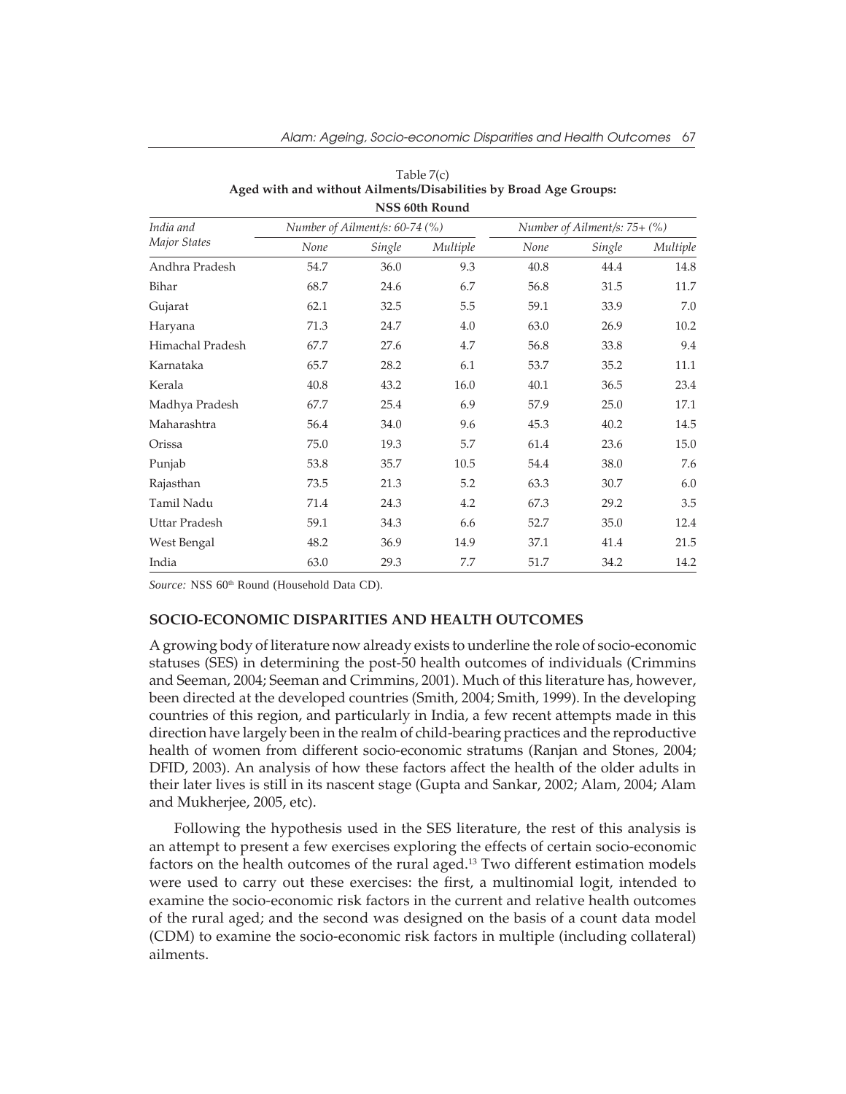|                  |      |                                | <b>INOO UULII INUULIU</b> |                              |        |          |  |
|------------------|------|--------------------------------|---------------------------|------------------------------|--------|----------|--|
| India and        |      | Number of Ailment/s: 60-74 (%) |                           | Number of Ailment/s: 75+ (%) |        |          |  |
| Major States     | None | Single                         | Multiple                  | None                         | Single | Multiple |  |
| Andhra Pradesh   | 54.7 | 36.0                           | 9.3                       | 40.8                         | 44.4   | 14.8     |  |
| Bihar            | 68.7 | 24.6                           | 6.7                       | 56.8                         | 31.5   | 11.7     |  |
| Gujarat          | 62.1 | 32.5                           | 5.5                       | 59.1                         | 33.9   | 7.0      |  |
| Haryana          | 71.3 | 24.7                           | 4.0                       | 63.0                         | 26.9   | 10.2     |  |
| Himachal Pradesh | 67.7 | 27.6                           | 4.7                       | 56.8                         | 33.8   | 9.4      |  |
| Karnataka        | 65.7 | 28.2                           | 6.1                       | 53.7                         | 35.2   | 11.1     |  |
| Kerala           | 40.8 | 43.2                           | 16.0                      | 40.1                         | 36.5   | 23.4     |  |
| Madhya Pradesh   | 67.7 | 25.4                           | 6.9                       | 57.9                         | 25.0   | 17.1     |  |
| Maharashtra      | 56.4 | 34.0                           | 9.6                       | 45.3                         | 40.2   | 14.5     |  |
| Orissa           | 75.0 | 19.3                           | 5.7                       | 61.4                         | 23.6   | 15.0     |  |
| Punjab           | 53.8 | 35.7                           | 10.5                      | 54.4                         | 38.0   | 7.6      |  |
| Rajasthan        | 73.5 | 21.3                           | 5.2                       | 63.3                         | 30.7   | 6.0      |  |
| Tamil Nadu       | 71.4 | 24.3                           | 4.2                       | 67.3                         | 29.2   | 3.5      |  |
| Uttar Pradesh    | 59.1 | 34.3                           | 6.6                       | 52.7                         | 35.0   | 12.4     |  |
| West Bengal      | 48.2 | 36.9                           | 14.9                      | 37.1                         | 41.4   | 21.5     |  |
| India            | 63.0 | 29.3                           | 7.7                       | 51.7                         | 34.2   | 14.2     |  |

## Table 7(c) **Aged with and without Ailments/Disabilities by Broad Age Groups: NSS 60th Round**

Source: NSS 60<sup>th</sup> Round (Household Data CD).

## **SOCIO-ECONOMIC DISPARITIES AND HEALTH OUTCOMES**

A growing body of literature now already exists to underline the role of socio-economic statuses (SES) in determining the post-50 health outcomes of individuals (Crimmins and Seeman, 2004; Seeman and Crimmins, 2001). Much of this literature has, however, been directed at the developed countries (Smith, 2004; Smith, 1999). In the developing countries of this region, and particularly in India, a few recent attempts made in this direction have largely been in the realm of child-bearing practices and the reproductive health of women from different socio-economic stratums (Ranjan and Stones, 2004; DFID, 2003). An analysis of how these factors affect the health of the older adults in their later lives is still in its nascent stage (Gupta and Sankar, 2002; Alam, 2004; Alam and Mukherjee, 2005, etc).

Following the hypothesis used in the SES literature, the rest of this analysis is an attempt to present a few exercises exploring the effects of certain socio-economic factors on the health outcomes of the rural aged.<sup>13</sup> Two different estimation models were used to carry out these exercises: the first, a multinomial logit, intended to examine the socio-economic risk factors in the current and relative health outcomes of the rural aged; and the second was designed on the basis of a count data model (CDM) to examine the socio-economic risk factors in multiple (including collateral) ailments.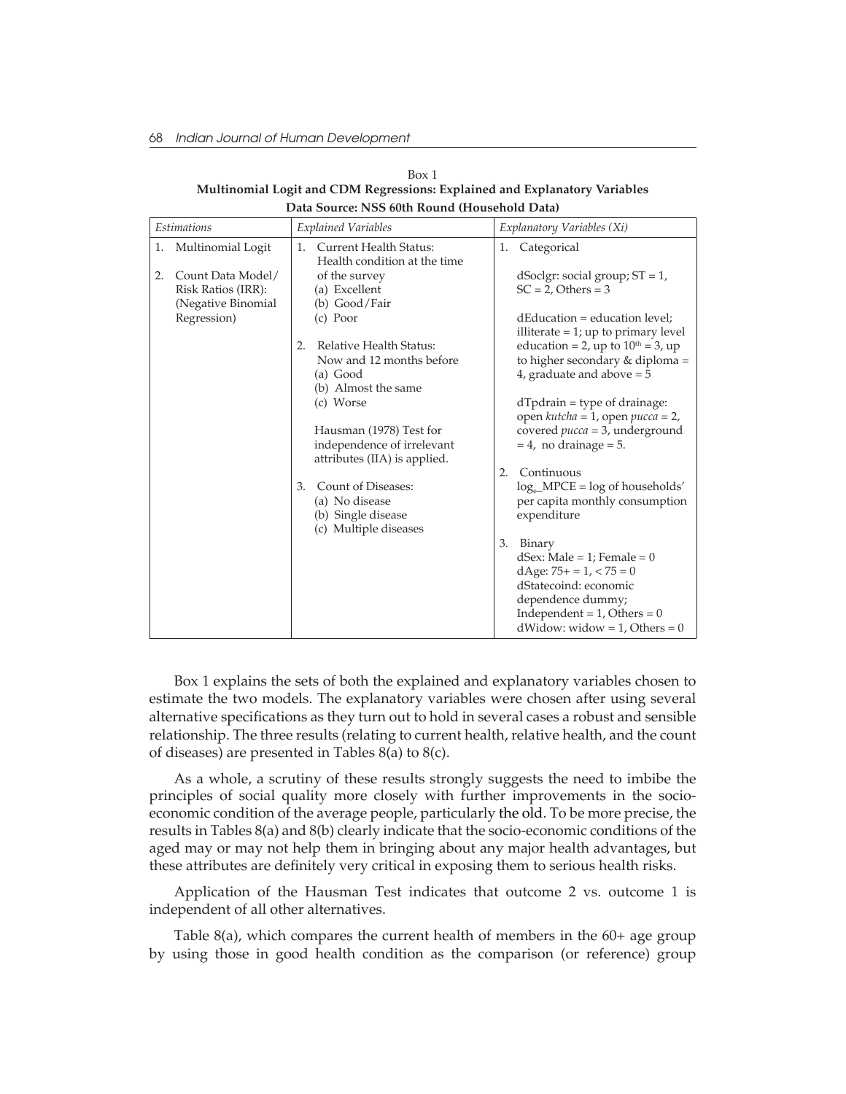| Estimations |                                                                                                      | <b>Explained Variables</b>                                                                                                                                                                                                                             | Explanatory Variables (Xi)                                                                                                                                                                                                                                                                                |
|-------------|------------------------------------------------------------------------------------------------------|--------------------------------------------------------------------------------------------------------------------------------------------------------------------------------------------------------------------------------------------------------|-----------------------------------------------------------------------------------------------------------------------------------------------------------------------------------------------------------------------------------------------------------------------------------------------------------|
| 2.          | 1. Multinomial Logit<br>Count Data Model/<br>Risk Ratios (IRR):<br>(Negative Binomial<br>Regression) | <b>Current Health Status:</b><br>$1_{-}$<br>Health condition at the time<br>of the survey<br>(a) Excellent<br>(b) Good/Fair<br>$(c)$ Poor<br>Relative Health Status:<br>2.<br>Now and 12 months before<br>(a) Good<br>(b) Almost the same<br>(c) Worse | 1. Categorical<br>$dSoclgr: social group; ST = 1,$<br>$SC = 2$ , Others = 3<br>$d$ Education = education level;<br>illiterate $= 1$ ; up to primary level<br>education = 2, up to $10^{th}$ = 3, up<br>to higher secondary $&$ diploma =<br>4, graduate and above $= 5$<br>$dTpdrain = type of drainage:$ |
|             |                                                                                                      | Hausman (1978) Test for<br>independence of irrelevant<br>attributes (IIA) is applied.                                                                                                                                                                  | open $kutcha = 1$ , open $pucca = 2$ ,<br>covered $pucca = 3$ , underground<br>$= 4$ , no drainage $= 5$ .<br>Continuous<br>2.                                                                                                                                                                            |
|             |                                                                                                      | Count of Diseases:<br>3.<br>(a) No disease<br>(b) Single disease<br>(c) Multiple diseases                                                                                                                                                              | $log_e$ _MPCE = $log$ of households'<br>per capita monthly consumption<br>expenditure<br>3.<br>Binary<br>$d$ Sex: Male = 1; Female = 0<br>dAge: $75+ = 1, < 75 = 0$<br>dStatecoind: economic<br>dependence dummy;<br>Independent = $1$ , Others = 0<br>$dWidow:$ widow = 1, Others = 0                    |

Box 1 **Multinomial Logit and CDM Regressions: Explained and Explanatory Variables Data Source: NSS 60th Round (Household Data)** 

Box 1 explains the sets of both the explained and explanatory variables chosen to estimate the two models. The explanatory variables were chosen after using several alternative specifications as they turn out to hold in several cases a robust and sensible relationship. The three results (relating to current health, relative health, and the count of diseases) are presented in Tables 8(a) to 8(c).

As a whole, a scrutiny of these results strongly suggests the need to imbibe the principles of social quality more closely with further improvements in the socioeconomic condition of the average people, particularly the old. To be more precise, the results in Tables 8(a) and 8(b) clearly indicate that the socio-economic conditions of the aged may or may not help them in bringing about any major health advantages, but these attributes are definitely very critical in exposing them to serious health risks.

Application of the Hausman Test indicates that outcome 2 vs. outcome 1 is independent of all other alternatives.

Table 8(a), which compares the current health of members in the 60+ age group by using those in good health condition as the comparison (or reference) group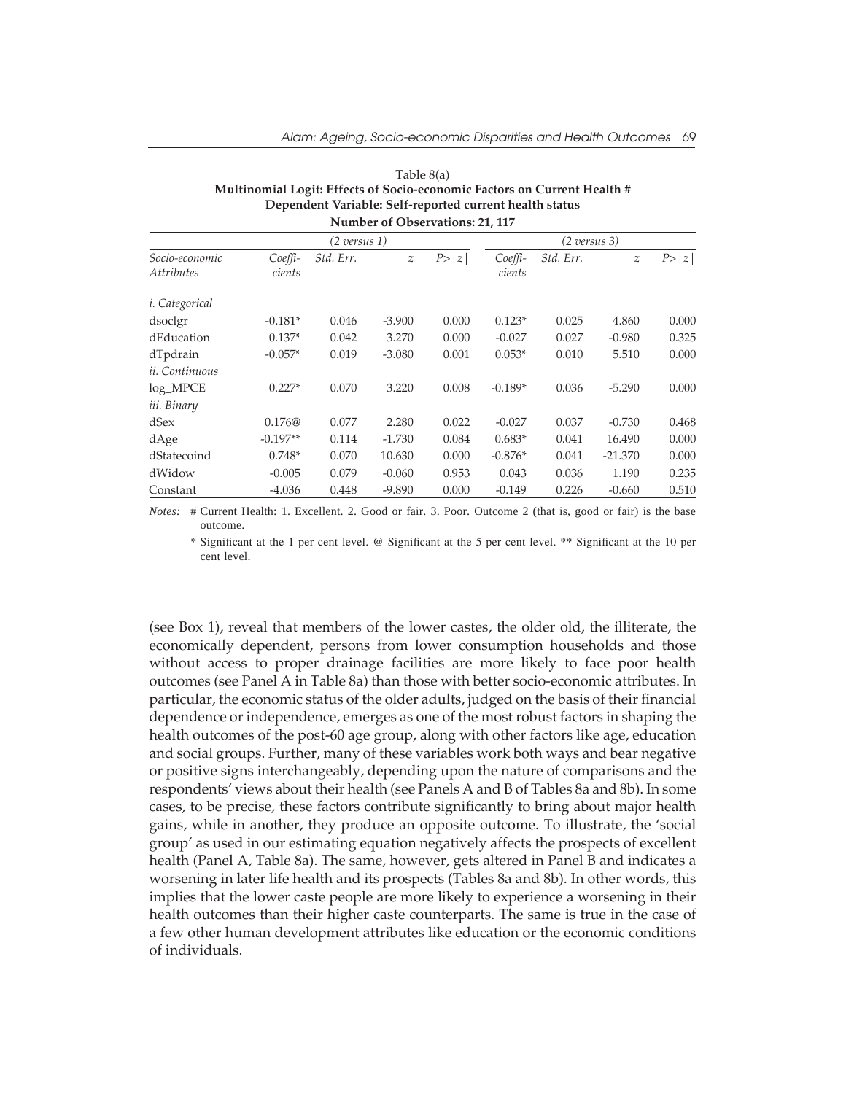| Table 8(a)                                                               |
|--------------------------------------------------------------------------|
| Multinomial Logit: Effects of Socio-economic Factors on Current Health # |
| Dependent Variable: Self-reported current health status                  |
| Number of Observations: 21, 117                                          |

|                                     |                   | $(2 \text{ versus } 1)$ |                  |       |                   | $(2 \text{ versus } 3)$ |                |        |  |
|-------------------------------------|-------------------|-------------------------|------------------|-------|-------------------|-------------------------|----------------|--------|--|
| Socio-economic<br><i>Attributes</i> | Coeffi-<br>cients | Std. Err.               | $\boldsymbol{z}$ | P> z  | Coeffi-<br>cients | Std. Err.               | $\overline{z}$ | P >  z |  |
| <i>i.</i> Categorical               |                   |                         |                  |       |                   |                         |                |        |  |
| dsoclgr                             | $-0.181*$         | 0.046                   | $-3.900$         | 0.000 | $0.123*$          | 0.025                   | 4.860          | 0.000  |  |
| dEducation                          | $0.137*$          | 0.042                   | 3.270            | 0.000 | $-0.027$          | 0.027                   | $-0.980$       | 0.325  |  |
| dTpdrain                            | $-0.057*$         | 0.019                   | $-3.080$         | 0.001 | $0.053*$          | 0.010                   | 5.510          | 0.000  |  |
| ii. Continuous                      |                   |                         |                  |       |                   |                         |                |        |  |
| $log_MPCE$                          | $0.227*$          | 0.070                   | 3.220            | 0.008 | $-0.189*$         | 0.036                   | $-5.290$       | 0.000  |  |
| iii. Binary                         |                   |                         |                  |       |                   |                         |                |        |  |
| dSex                                | 0.176@            | 0.077                   | 2.280            | 0.022 | $-0.027$          | 0.037                   | $-0.730$       | 0.468  |  |
| dAge                                | $-0.197**$        | 0.114                   | $-1.730$         | 0.084 | $0.683*$          | 0.041                   | 16.490         | 0.000  |  |
| dStatecoind                         | $0.748*$          | 0.070                   | 10.630           | 0.000 | $-0.876*$         | 0.041                   | $-21.370$      | 0.000  |  |
| dWidow                              | $-0.005$          | 0.079                   | $-0.060$         | 0.953 | 0.043             | 0.036                   | 1.190          | 0.235  |  |
| Constant                            | $-4.036$          | 0.448                   | $-9.890$         | 0.000 | $-0.149$          | 0.226                   | $-0.660$       | 0.510  |  |

*Notes:* # Current Health: 1. Excellent. 2. Good or fair. 3. Poor. Outcome 2 (that is, good or fair) is the base outcome.

\* Significant at the 1 per cent level. @ Significant at the 5 per cent level. \*\* Significant at the 10 per cent level.

(see Box 1), reveal that members of the lower castes, the older old, the illiterate, the economically dependent, persons from lower consumption households and those without access to proper drainage facilities are more likely to face poor health outcomes (see Panel A in Table 8a) than those with better socio-economic attributes. In particular, the economic status of the older adults, judged on the basis of their financial dependence or independence, emerges as one of the most robust factors in shaping the health outcomes of the post-60 age group, along with other factors like age, education and social groups. Further, many of these variables work both ways and bear negative or positive signs interchangeably, depending upon the nature of comparisons and the respondents' views about their health (see Panels A and B of Tables 8a and 8b). In some cases, to be precise, these factors contribute significantly to bring about major health gains, while in another, they produce an opposite outcome. To illustrate, the 'social group' as used in our estimating equation negatively affects the prospects of excellent health (Panel A, Table 8a). The same, however, gets altered in Panel B and indicates a worsening in later life health and its prospects (Tables 8a and 8b). In other words, this implies that the lower caste people are more likely to experience a worsening in their health outcomes than their higher caste counterparts. The same is true in the case of a few other human development attributes like education or the economic conditions of individuals.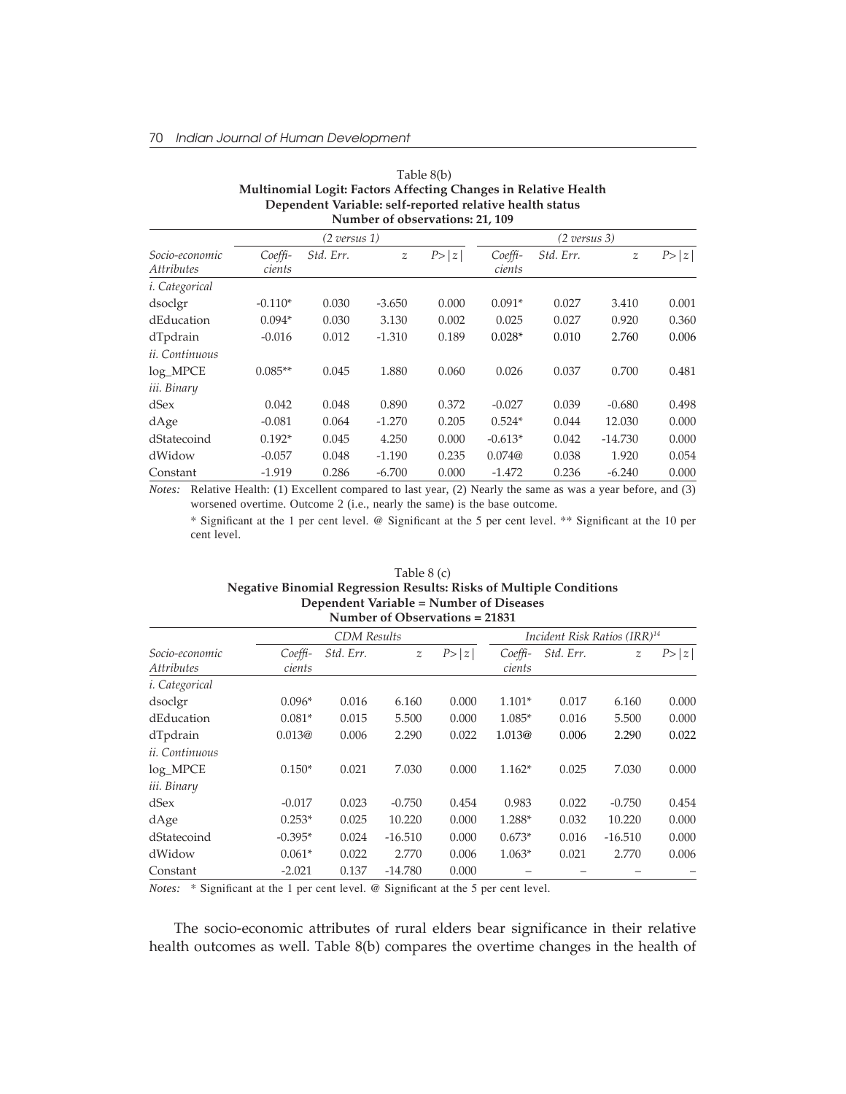### 70 Indian Journal of Human Development

|                              |                   | Multinomial Logit: Factors Affecting Changes in Relative Health<br>Dependent Variable: self-reported relative health status |                | Number of observations: 21, 109 |                   |                         |                |        |
|------------------------------|-------------------|-----------------------------------------------------------------------------------------------------------------------------|----------------|---------------------------------|-------------------|-------------------------|----------------|--------|
|                              |                   | (2 versus 1)                                                                                                                |                |                                 |                   | $(2 \text{ versus } 3)$ |                |        |
| Socio-economic<br>Attributes | Coeffi-<br>cients | Std. Err.                                                                                                                   | $\overline{z}$ | P> z                            | Coeffi-<br>cients | Std. Err.               | $\overline{z}$ | P >  z |
| <i>i</i> . Categorical       |                   |                                                                                                                             |                |                                 |                   |                         |                |        |
| dsoclgr                      | $-0.110*$         | 0.030                                                                                                                       | $-3.650$       | 0.000                           | $0.091*$          | 0.027                   | 3.410          | 0.001  |
| dEducation                   | $0.094*$          | 0.030                                                                                                                       | 3.130          | 0.002                           | 0.025             | 0.027                   | 0.920          | 0.360  |
| dTpdrain<br>ii. Continuous   | $-0.016$          | 0.012                                                                                                                       | $-1.310$       | 0.189                           | $0.028*$          | 0.010                   | 2.760          | 0.006  |
| log_MPCE<br>iii. Binary      | $0.085**$         | 0.045                                                                                                                       | 1.880          | 0.060                           | 0.026             | 0.037                   | 0.700          | 0.481  |
| dSex                         | 0.042             | 0.048                                                                                                                       | 0.890          | 0.372                           | $-0.027$          | 0.039                   | $-0.680$       | 0.498  |
| dAge                         | $-0.081$          | 0.064                                                                                                                       | $-1.270$       | 0.205                           | $0.524*$          | 0.044                   | 12.030         | 0.000  |
| dStatecoind                  | $0.192*$          | 0.045                                                                                                                       | 4.250          | 0.000                           | $-0.613*$         | 0.042                   | $-14.730$      | 0.000  |
| dWidow                       | $-0.057$          | 0.048                                                                                                                       | $-1.190$       | 0.235                           | 0.074@            | 0.038                   | 1.920          | 0.054  |
| Constant                     | $-1.919$          | 0.286                                                                                                                       | $-6.700$       | 0.000                           | $-1.472$          | 0.236                   | $-6.240$       | 0.000  |

Table 8(b)

*Notes:* Relative Health: (1) Excellent compared to last year, (2) Nearly the same as was a year before, and (3) worsened overtime. Outcome 2 (i.e., nearly the same) is the base outcome.

\* Significant at the 1 per cent level. @ Significant at the 5 per cent level. \*\* Significant at the 10 per cent level.

#### Table 8 (c) **Negative Binomial Regression Results: Risks of Multiple Conditions Dependent Variable = Number of Diseases Number of Observations = 21831**

|                                     |                   | <b>CDM</b> Results |                  |       |                   | Incident Risk Ratios (IRR) <sup>14</sup> |                |       |  |
|-------------------------------------|-------------------|--------------------|------------------|-------|-------------------|------------------------------------------|----------------|-------|--|
| Socio-economic<br><i>Attributes</i> | Coeffi-<br>cients | Std. Err.          | $\boldsymbol{z}$ | P> z  | Coeffi-<br>cients | Std. Err.                                | $\overline{z}$ | P> z  |  |
| <i>i.</i> Categorical               |                   |                    |                  |       |                   |                                          |                |       |  |
| dsoclgr                             | $0.096*$          | 0.016              | 6.160            | 0.000 | $1.101*$          | 0.017                                    | 6.160          | 0.000 |  |
| dEducation                          | $0.081*$          | 0.015              | 5.500            | 0.000 | $1.085*$          | 0.016                                    | 5.500          | 0.000 |  |
| dTpdrain                            | 0.013@            | 0.006              | 2.290            | 0.022 | 1.013@            | 0.006                                    | 2.290          | 0.022 |  |
| <i>ii.</i> Continuous               |                   |                    |                  |       |                   |                                          |                |       |  |
| log_MPCE                            | $0.150*$          | 0.021              | 7.030            | 0.000 | $1.162*$          | 0.025                                    | 7.030          | 0.000 |  |
| iii. Binary                         |                   |                    |                  |       |                   |                                          |                |       |  |
| dSex                                | $-0.017$          | 0.023              | $-0.750$         | 0.454 | 0.983             | 0.022                                    | $-0.750$       | 0.454 |  |
| dAge                                | $0.253*$          | 0.025              | 10.220           | 0.000 | 1.288*            | 0.032                                    | 10.220         | 0.000 |  |
| dStatecoind                         | $-0.395*$         | 0.024              | $-16.510$        | 0.000 | $0.673*$          | 0.016                                    | $-16.510$      | 0.000 |  |
| dWidow                              | $0.061*$          | 0.022              | 2.770            | 0.006 | $1.063*$          | 0.021                                    | 2.770          | 0.006 |  |
| Constant                            | $-2.021$          | 0.137              | $-14.780$        | 0.000 |                   |                                          |                |       |  |

*Notes:* \* Significant at the 1 per cent level. @ Significant at the 5 per cent level.

The socio-economic attributes of rural elders bear significance in their relative health outcomes as well. Table 8(b) compares the overtime changes in the health of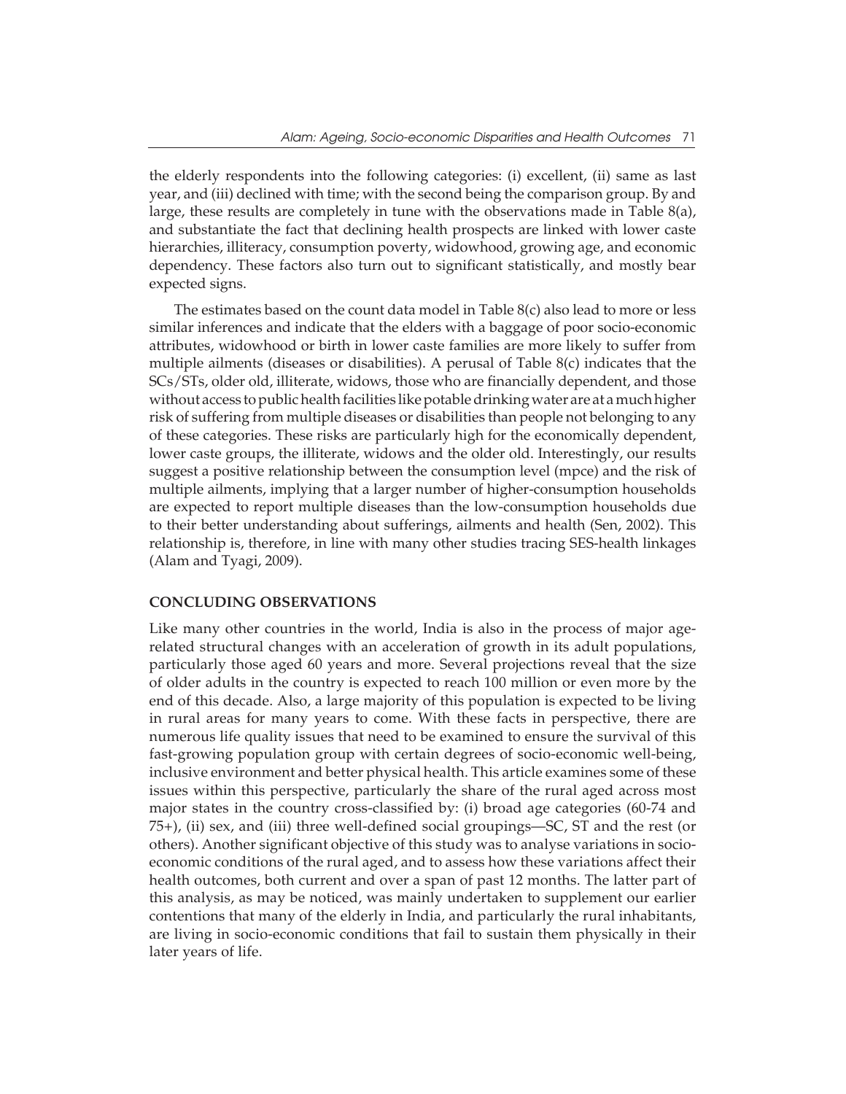the elderly respondents into the following categories: (i) excellent, (ii) same as last year, and (iii) declined with time; with the second being the comparison group. By and large, these results are completely in tune with the observations made in Table 8(a), and substantiate the fact that declining health prospects are linked with lower caste hierarchies, illiteracy, consumption poverty, widowhood, growing age, and economic dependency. These factors also turn out to significant statistically, and mostly bear expected signs.

The estimates based on the count data model in Table 8(c) also lead to more or less similar inferences and indicate that the elders with a baggage of poor socio-economic attributes, widowhood or birth in lower caste families are more likely to suffer from multiple ailments (diseases or disabilities). A perusal of Table 8(c) indicates that the SCs/STs, older old, illiterate, widows, those who are financially dependent, and those without access to public health facilities like potable drinking water are at a much higher risk of suffering from multiple diseases or disabilities than people not belonging to any of these categories. These risks are particularly high for the economically dependent, lower caste groups, the illiterate, widows and the older old. Interestingly, our results suggest a positive relationship between the consumption level (mpce) and the risk of multiple ailments, implying that a larger number of higher-consumption households are expected to report multiple diseases than the low-consumption households due to their better understanding about sufferings, ailments and health (Sen, 2002). This relationship is, therefore, in line with many other studies tracing SES-health linkages (Alam and Tyagi, 2009).

## **CONCLUDING OBSERVATIONS**

Like many other countries in the world, India is also in the process of major agerelated structural changes with an acceleration of growth in its adult populations, particularly those aged 60 years and more. Several projections reveal that the size of older adults in the country is expected to reach 100 million or even more by the end of this decade. Also, a large majority of this population is expected to be living in rural areas for many years to come. With these facts in perspective, there are numerous life quality issues that need to be examined to ensure the survival of this fast-growing population group with certain degrees of socio-economic well-being, inclusive environment and better physical health. This article examines some of these issues within this perspective, particularly the share of the rural aged across most major states in the country cross-classified by: (i) broad age categories (60-74 and 75+), (ii) sex, and (iii) three well-defined social groupings—SC, ST and the rest (or others). Another significant objective of this study was to analyse variations in socioeconomic conditions of the rural aged, and to assess how these variations affect their health outcomes, both current and over a span of past 12 months. The latter part of this analysis, as may be noticed, was mainly undertaken to supplement our earlier contentions that many of the elderly in India, and particularly the rural inhabitants, are living in socio-economic conditions that fail to sustain them physically in their later years of life.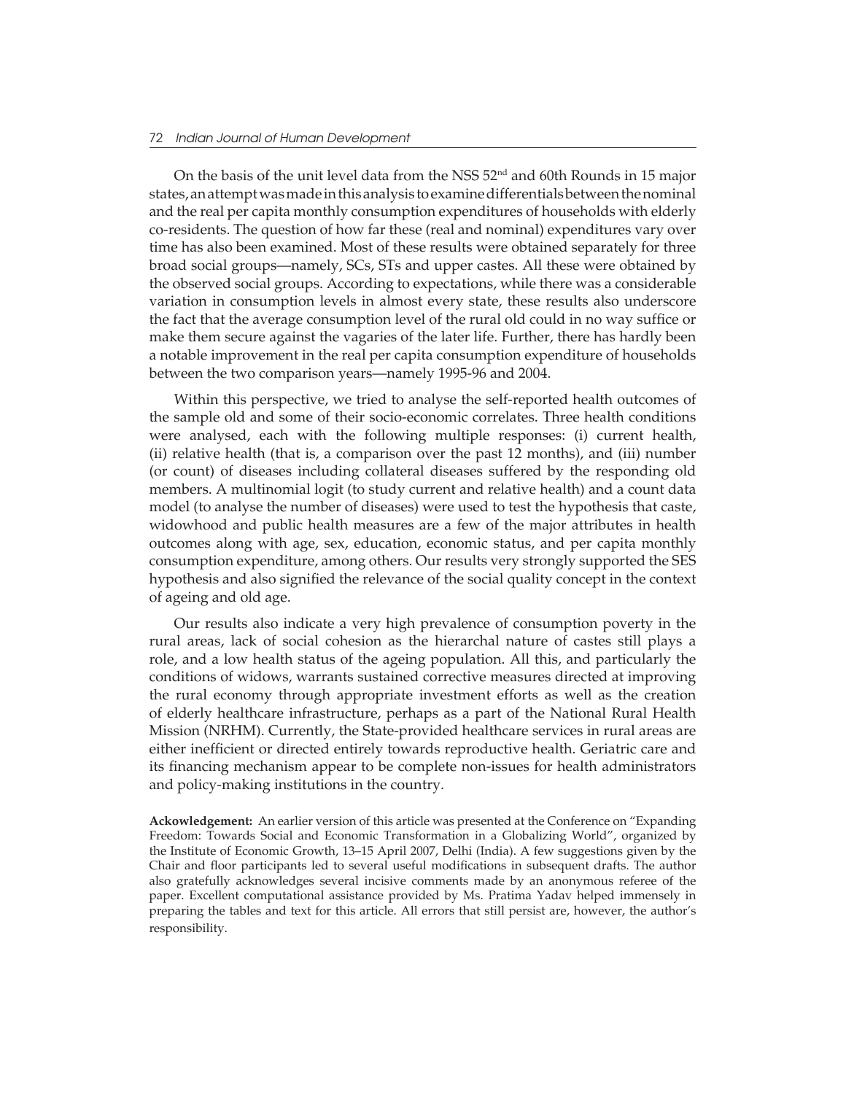On the basis of the unit level data from the NSS  $52<sup>nd</sup>$  and 60th Rounds in 15 major states, an attempt was made in this analysis to examine differentials between the nominal and the real per capita monthly consumption expenditures of households with elderly co-residents. The question of how far these (real and nominal) expenditures vary over time has also been examined. Most of these results were obtained separately for three broad social groups—namely, SCs, STs and upper castes. All these were obtained by the observed social groups. According to expectations, while there was a considerable variation in consumption levels in almost every state, these results also underscore the fact that the average consumption level of the rural old could in no way suffice or make them secure against the vagaries of the later life. Further, there has hardly been a notable improvement in the real per capita consumption expenditure of households between the two comparison years—namely 1995-96 and 2004.

Within this perspective, we tried to analyse the self-reported health outcomes of the sample old and some of their socio-economic correlates. Three health conditions were analysed, each with the following multiple responses: (i) current health, (ii) relative health (that is, a comparison over the past 12 months), and (iii) number (or count) of diseases including collateral diseases suffered by the responding old members. A multinomial logit (to study current and relative health) and a count data model (to analyse the number of diseases) were used to test the hypothesis that caste, widowhood and public health measures are a few of the major attributes in health outcomes along with age, sex, education, economic status, and per capita monthly consumption expenditure, among others. Our results very strongly supported the SES hypothesis and also signified the relevance of the social quality concept in the context of ageing and old age.

Our results also indicate a very high prevalence of consumption poverty in the rural areas, lack of social cohesion as the hierarchal nature of castes still plays a role, and a low health status of the ageing population. All this, and particularly the conditions of widows, warrants sustained corrective measures directed at improving the rural economy through appropriate investment efforts as well as the creation of elderly healthcare infrastructure, perhaps as a part of the National Rural Health Mission (NRHM). Currently, the State-provided healthcare services in rural areas are either inefficient or directed entirely towards reproductive health. Geriatric care and its financing mechanism appear to be complete non-issues for health administrators and policy-making institutions in the country.

**Ackowledgement:** An earlier version of this article was presented at the Conference on "Expanding Freedom: Towards Social and Economic Transformation in a Globalizing World", organized by the Institute of Economic Growth, 13–15 April 2007, Delhi (India). A few suggestions given by the Chair and floor participants led to several useful modifications in subsequent drafts. The author also gratefully acknowledges several incisive comments made by an anonymous referee of the paper. Excellent computational assistance provided by Ms. Pratima Yadav helped immensely in preparing the tables and text for this article. All errors that still persist are, however, the author's responsibility.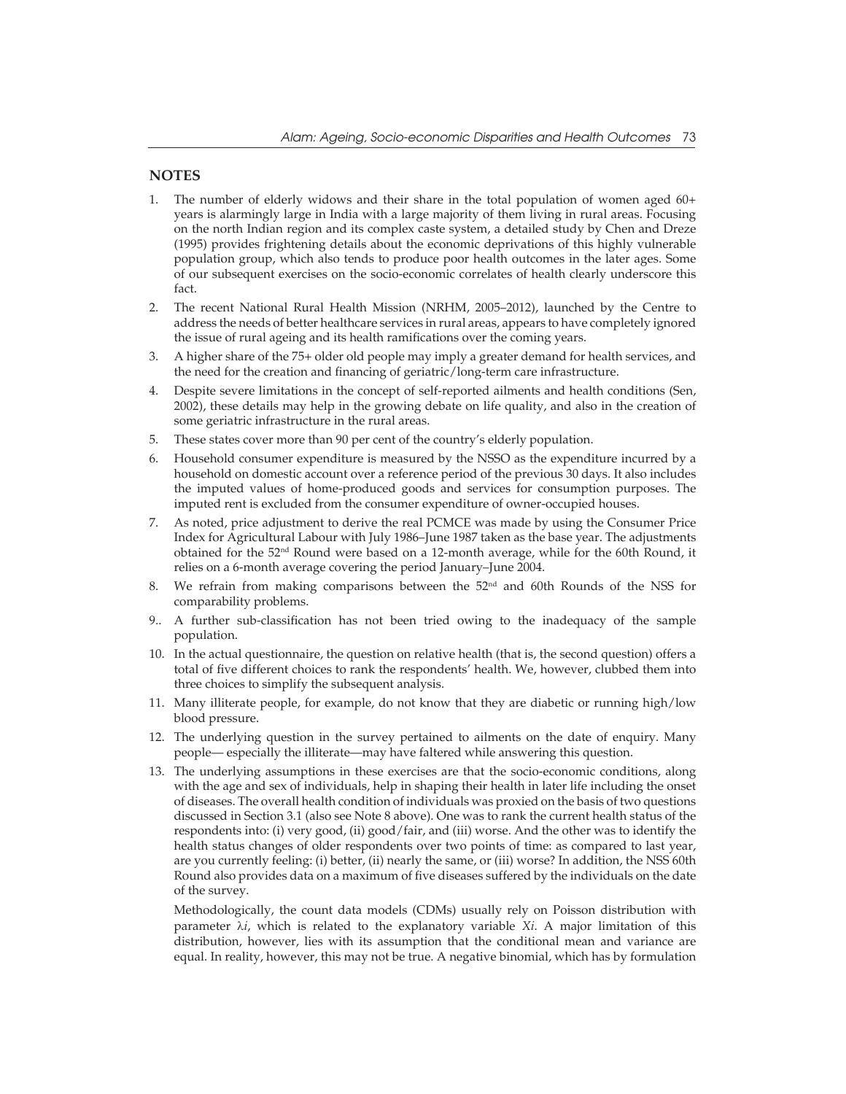## **NOTES**

- 1. The number of elderly widows and their share in the total population of women aged 60+ years is alarmingly large in India with a large majority of them living in rural areas. Focusing on the north Indian region and its complex caste system, a detailed study by Chen and Dreze (1995) provides frightening details about the economic deprivations of this highly vulnerable population group, which also tends to produce poor health outcomes in the later ages. Some of our subsequent exercises on the socio-economic correlates of health clearly underscore this fact.
- 2. The recent National Rural Health Mission (NRHM, 2005–2012), launched by the Centre to address the needs of better healthcare services in rural areas, appears to have completely ignored the issue of rural ageing and its health ramifications over the coming years.
- 3. A higher share of the 75+ older old people may imply a greater demand for health services, and the need for the creation and financing of geriatric/long-term care infrastructure.
- 4. Despite severe limitations in the concept of self-reported ailments and health conditions (Sen, 2002), these details may help in the growing debate on life quality, and also in the creation of some geriatric infrastructure in the rural areas.
- 5. These states cover more than 90 per cent of the country's elderly population.
- 6. Household consumer expenditure is measured by the NSSO as the expenditure incurred by a household on domestic account over a reference period of the previous 30 days. It also includes the imputed values of home-produced goods and services for consumption purposes. The imputed rent is excluded from the consumer expenditure of owner-occupied houses.
- 7. As noted, price adjustment to derive the real PCMCE was made by using the Consumer Price Index for Agricultural Labour with July 1986–June 1987 taken as the base year. The adjustments obtained for the 52nd Round were based on a 12-month average, while for the 60th Round, it relies on a 6-month average covering the period January–June 2004.
- 8. We refrain from making comparisons between the 52<sup>nd</sup> and 60th Rounds of the NSS for comparability problems.
- 9.. A further sub-classification has not been tried owing to the inadequacy of the sample population.
- 10. In the actual questionnaire, the question on relative health (that is, the second question) offers a total of five different choices to rank the respondents' health. We, however, clubbed them into three choices to simplify the subsequent analysis.
- 11. Many illiterate people, for example, do not know that they are diabetic or running high/low blood pressure.
- 12. The underlying question in the survey pertained to ailments on the date of enquiry. Many people— especially the illiterate—may have faltered while answering this question.
- 13. The underlying assumptions in these exercises are that the socio-economic conditions, along with the age and sex of individuals, help in shaping their health in later life including the onset of diseases. The overall health condition of individuals was proxied on the basis of two questions discussed in Section 3.1 (also see Note 8 above). One was to rank the current health status of the respondents into: (i) very good, (ii) good/fair, and (iii) worse. And the other was to identify the health status changes of older respondents over two points of time: as compared to last year, are you currently feeling: (i) better, (ii) nearly the same, or (iii) worse? In addition, the NSS 60th Round also provides data on a maximum of five diseases suffered by the individuals on the date of the survey.

Methodologically, the count data models (CDMs) usually rely on Poisson distribution with parameter λ*i*, which is related to the explanatory variable *Xi*. A major limitation of this distribution, however, lies with its assumption that the conditional mean and variance are equal. In reality, however, this may not be true. A negative binomial, which has by formulation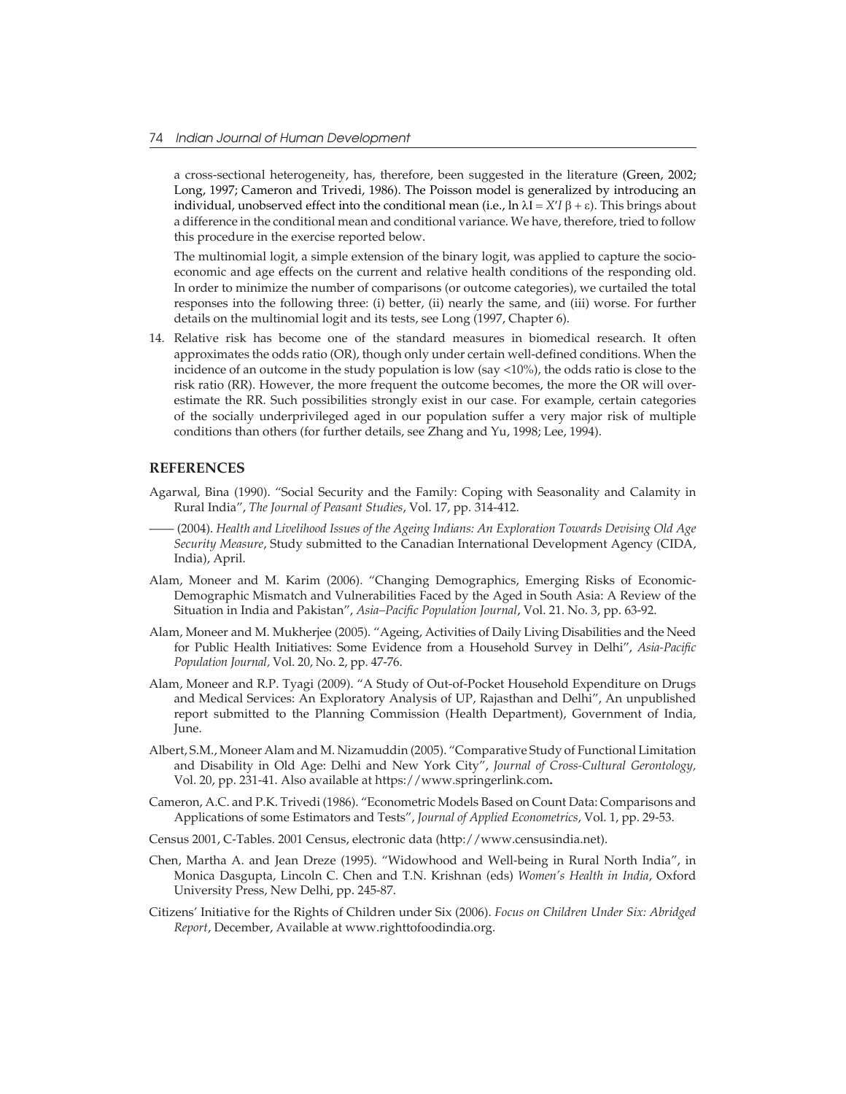a cross-sectional heterogeneity, has, therefore, been suggested in the literature (Green, 2002; Long, 1997; Cameron and Trivedi, 1986). The Poisson model is generalized by introducing an individual, unobserved effect into the conditional mean (i.e., ln  $\lambda I = X'I \beta + \epsilon$ ). This brings about a difference in the conditional mean and conditional variance. We have, therefore, tried to follow this procedure in the exercise reported below.

The multinomial logit, a simple extension of the binary logit, was applied to capture the socioeconomic and age effects on the current and relative health conditions of the responding old. In order to minimize the number of comparisons (or outcome categories), we curtailed the total responses into the following three: (i) better, (ii) nearly the same, and (iii) worse. For further details on the multinomial logit and its tests, see Long (1997, Chapter 6).

14. Relative risk has become one of the standard measures in biomedical research. It often approximates the odds ratio (OR), though only under certain well-defined conditions. When the incidence of an outcome in the study population is low (say  $<10\%$ ), the odds ratio is close to the risk ratio (RR). However, the more frequent the outcome becomes, the more the OR will overestimate the RR. Such possibilities strongly exist in our case. For example, certain categories of the socially underprivileged aged in our population suffer a very major risk of multiple conditions than others (for further details, see Zhang and Yu, 1998; Lee, 1994).

#### **References**

- Agarwal, Bina (1990). "Social Security and the Family: Coping with Seasonality and Calamity in Rural India", *The Journal of Peasant Studies*, Vol. 17, pp. 314-412.
- —— (2004). *Health and Livelihood Issues of the Ageing Indians: An Exploration Towards Devising Old Age Security Measure*, Study submitted to the Canadian International Development Agency (CIDA, India), April.
- Alam, Moneer and M. Karim (2006). "Changing Demographics, Emerging Risks of Economic-Demographic Mismatch and Vulnerabilities Faced by the Aged in South Asia: A Review of the Situation in India and Pakistan", *Asia–Pacific Population Journal*, Vol. 21. No. 3, pp. 63-92.
- Alam, Moneer and M. Mukherjee (2005). "Ageing, Activities of Daily Living Disabilities and the Need for Public Health Initiatives: Some Evidence from a Household Survey in Delhi", *Asia-Pacific Population Journal,* Vol. 20, No. 2, pp. 47-76.
- Alam, Moneer and R.P. Tyagi (2009). "A Study of Out-of-Pocket Household Expenditure on Drugs and Medical Services: An Exploratory Analysis of UP, Rajasthan and Delhi", An unpublished report submitted to the Planning Commission (Health Department), Government of India, June.
- Albert, S.M., Moneer Alam and M. Nizamuddin (2005). "Comparative Study of Functional Limitation and Disability in Old Age: Delhi and New York City", *Journal of Cross-Cultural Gerontology,*  Vol. 20, pp. 231-41. Also available at https://www.springerlink.com**.**
- Cameron, A.C. and P.K. Trivedi (1986). "Econometric Models Based on Count Data: Comparisons and Applications of some Estimators and Tests", *Journal of Applied Econometrics*, Vol. 1, pp. 29-53.
- Census 2001, C-Tables. 2001 Census, electronic data (http://www.censusindia.net).
- Chen, Martha A. and Jean Dreze (1995). "Widowhood and Well-being in Rural North India", in Monica Dasgupta, Lincoln C. Chen and T.N. Krishnan (eds) *Women's Health in India*, Oxford University Press, New Delhi, pp. 245-87.
- Citizens' Initiative for the Rights of Children under Six (2006). *Focus on Children Under Six: Abridged Report*, December, Available at www.righttofoodindia.org.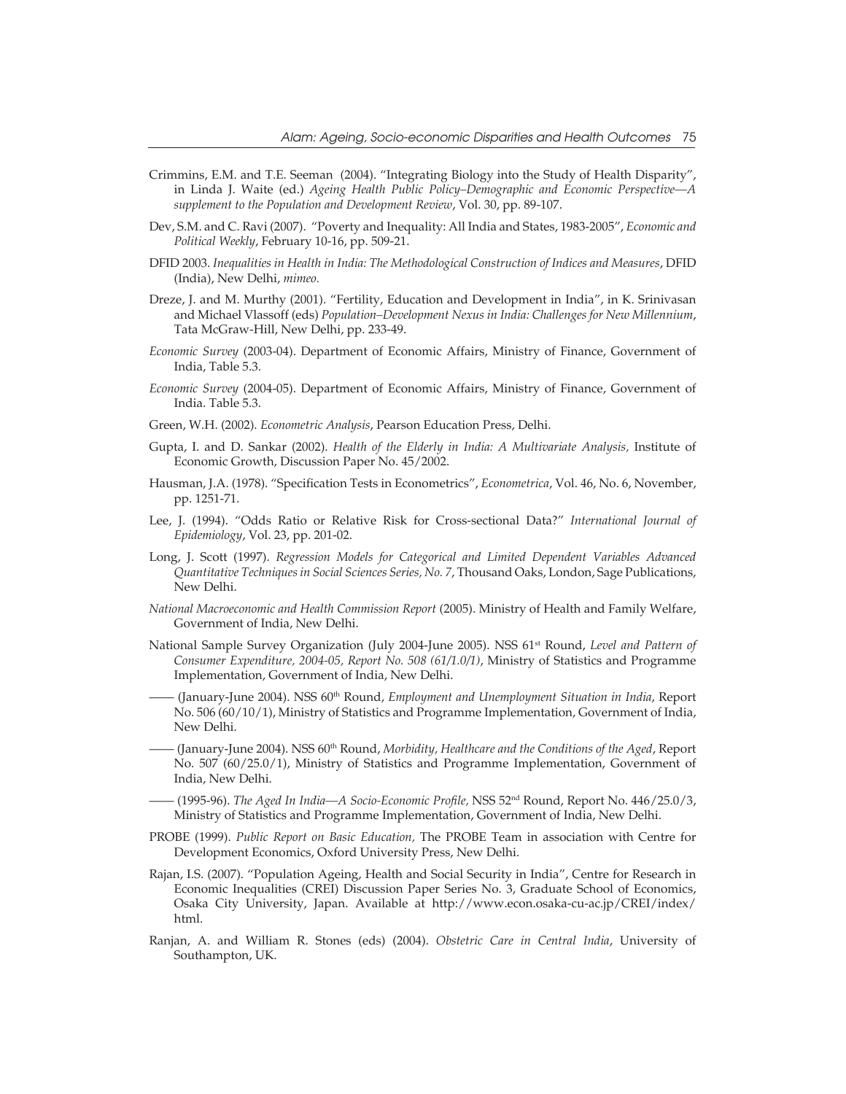- Crimmins, E.M. and T.E. Seeman (2004). "Integrating Biology into the Study of Health Disparity", in Linda J. Waite (ed.) *Ageing Health Public Policy–Demographic and Economic Perspective—A supplement to the Population and Development Review*, Vol. 30, pp. 89-107.
- Dev, S.M. and C. Ravi (2007). "Poverty and Inequality: All India and States, 1983-2005", *Economic and Political Weekly*, February 10-16, pp. 509-21.
- DFID 2003. *Inequalities in Health in India: The Methodological Construction of Indices and Measures*, DFID (India), New Delhi, *mimeo.*
- Dreze, J. and M. Murthy (2001). "Fertility, Education and Development in India", in K. Srinivasan and Michael Vlassoff (eds) *Population–Development Nexus in India: Challenges for New Millennium*, Tata McGraw-Hill, New Delhi, pp. 233-49.
- *Economic Survey* (2003-04). Department of Economic Affairs, Ministry of Finance, Government of India, Table 5.3.
- *Economic Survey* (2004-05). Department of Economic Affairs, Ministry of Finance, Government of India. Table 5.3.
- Green, W.H. (2002). *Econometric Analysis*, Pearson Education Press, Delhi.
- Gupta, I. and D. Sankar (2002). *Health of the Elderly in India: A Multivariate Analysis,* Institute of Economic Growth, Discussion Paper No. 45/2002.
- Hausman, J.A. (1978). "Specification Tests in Econometrics", *Econometrica*, Vol. 46, No. 6, November, pp. 1251-71.
- Lee, J. (1994). "Odds Ratio or Relative Risk for Cross-sectional Data?" *International Journal of Epidemiology*, Vol. 23, pp. 201-02.
- Long, J. Scott (1997). *Regression Models for Categorical and Limited Dependent Variables Advanced Quantitative Techniques in Social Sciences Series, No. 7*, Thousand Oaks, London, Sage Publications, New Delhi.
- *National Macroeconomic and Health Commission Report* (2005). Ministry of Health and Family Welfare, Government of India, New Delhi.
- National Sample Survey Organization (July 2004-June 2005). NSS 61<sup>st</sup> Round, *Level and Pattern of Consumer Expenditure, 2004-05, Report No. 508 (61/1.0/1)*, Ministry of Statistics and Programme Implementation, Government of India, New Delhi.
- —— (January-June 2004). NSS 60th Round, *Employment and Unemployment Situation in India*, Report No. 506 (60/10/1), Ministry of Statistics and Programme Implementation, Government of India, New Delhi.
- —— (January-June 2004). NSS 60th Round, *Morbidity, Healthcare and the Conditions of the Aged*, Report No. 507 (60/25.0/1), Ministry of Statistics and Programme Implementation, Government of India, New Delhi.
- —— (1995-96). *The Aged In India—A Socio-Economic Profile,* NSS 52nd Round, Report No. 446/25.0/3, Ministry of Statistics and Programme Implementation, Government of India, New Delhi.
- PROBE (1999). *Public Report on Basic Education,* The PROBE Team in association with Centre for Development Economics, Oxford University Press, New Delhi.
- Rajan, I.S. (2007). "Population Ageing, Health and Social Security in India", Centre for Research in Economic Inequalities (CREI) Discussion Paper Series No. 3, Graduate School of Economics, Osaka City University, Japan. Available at http://www.econ.osaka-cu-ac.jp/CREI/index/ html.
- Ranjan, A. and William R. Stones (eds) (2004). *Obstetric Care in Central India*, University of Southampton, UK.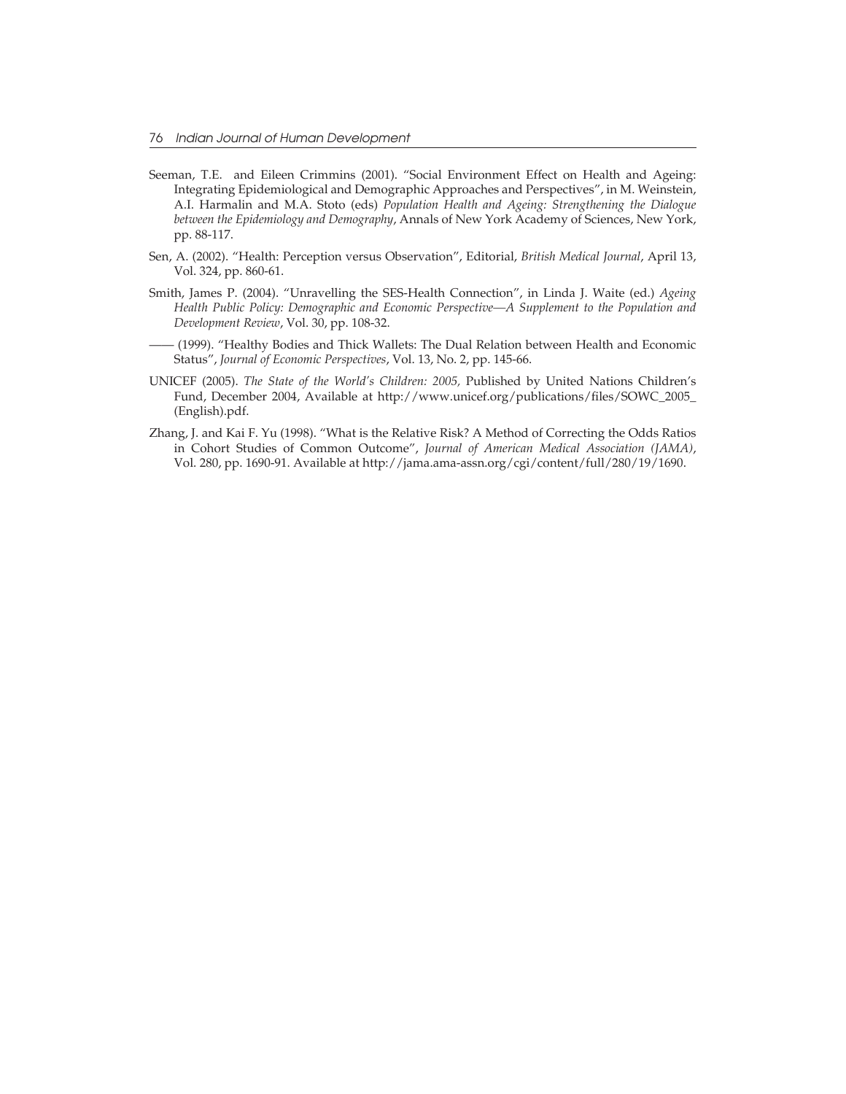- Seeman, T.E. and Eileen Crimmins (2001). "Social Environment Effect on Health and Ageing: Integrating Epidemiological and Demographic Approaches and Perspectives", in M. Weinstein, A.I. Harmalin and M.A. Stoto (eds) *Population Health and Ageing: Strengthening the Dialogue between the Epidemiology and Demography*, Annals of New York Academy of Sciences, New York, pp. 88-117.
- Sen, A. (2002). "Health: Perception versus Observation", Editorial, *British Medical Journal*, April 13, Vol. 324, pp. 860-61.
- Smith, James P. (2004). "Unravelling the SES-Health Connection", in Linda J. Waite (ed.) *Ageing Health Public Policy: Demographic and Economic Perspective—A Supplement to the Population and Development Review*, Vol. 30, pp. 108-32.
- —— (1999). "Healthy Bodies and Thick Wallets: The Dual Relation between Health and Economic Status", *Journal of Economic Perspectives*, Vol. 13, No. 2, pp. 145-66.
- UNICEF (2005). *The State of the World's Children: 2005,* Published by United Nations Children's Fund, December 2004, Available at http://www.unicef.org/publications/files/SOWC\_2005\_ (English).pdf.
- Zhang, J. and Kai F. Yu (1998). "What is the Relative Risk? A Method of Correcting the Odds Ratios in Cohort Studies of Common Outcome", *Journal of American Medical Association (JAMA)*, Vol. 280, pp. 1690-91. Available at http://jama.ama-assn.org/cgi/content/full/280/19/1690.